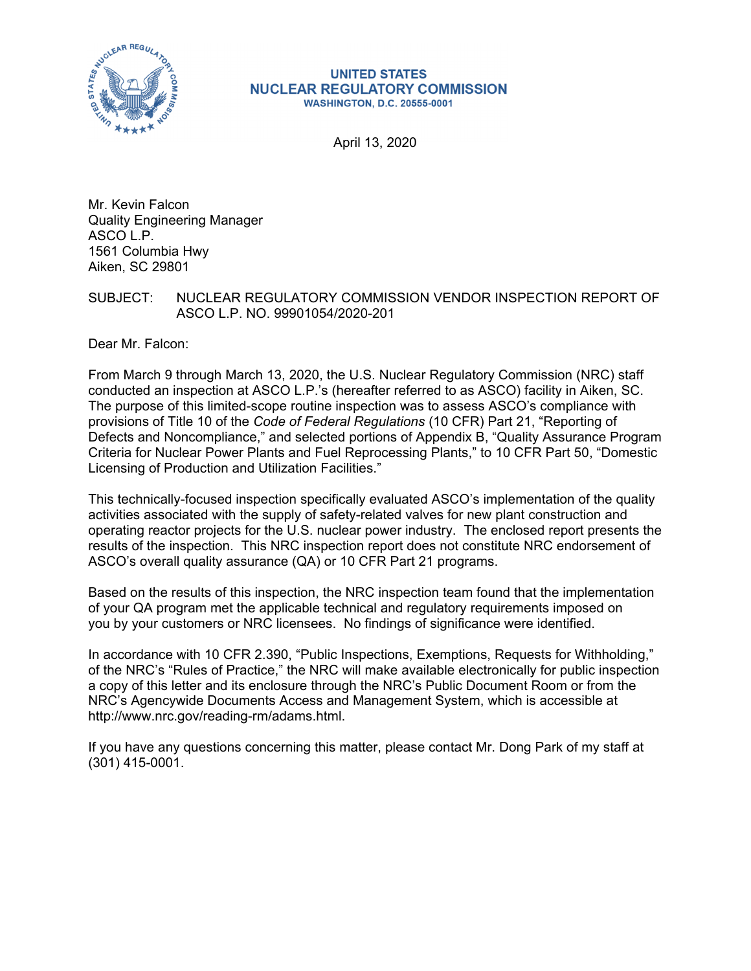

#### **UNITED STATES NUCLEAR REGULATORY COMMISSION WASHINGTON, D.C. 20555-0001**

April 13, 2020

Mr. Kevin Falcon Quality Engineering Manager ASCO L.P. 1561 Columbia Hwy Aiken, SC 29801

SUBJECT: NUCLEAR REGULATORY COMMISSION VENDOR INSPECTION REPORT OF ASCO L.P. NO. 99901054/2020-201

Dear Mr. Falcon:

From March 9 through March 13, 2020, the U.S. Nuclear Regulatory Commission (NRC) staff conducted an inspection at ASCO L.P.'s (hereafter referred to as ASCO) facility in Aiken, SC. The purpose of this limited-scope routine inspection was to assess ASCO's compliance with provisions of Title 10 of the *Code of Federal Regulations* (10 CFR) Part 21, "Reporting of Defects and Noncompliance," and selected portions of Appendix B, "Quality Assurance Program Criteria for Nuclear Power Plants and Fuel Reprocessing Plants," to 10 CFR Part 50, "Domestic Licensing of Production and Utilization Facilities."

This technically-focused inspection specifically evaluated ASCO's implementation of the quality activities associated with the supply of safety-related valves for new plant construction and operating reactor projects for the U.S. nuclear power industry. The enclosed report presents the results of the inspection. This NRC inspection report does not constitute NRC endorsement of ASCO's overall quality assurance (QA) or 10 CFR Part 21 programs.

Based on the results of this inspection, the NRC inspection team found that the implementation of your QA program met the applicable technical and regulatory requirements imposed on you by your customers or NRC licensees. No findings of significance were identified.

In accordance with 10 CFR 2.390, "Public Inspections, Exemptions, Requests for Withholding," of the NRC's "Rules of Practice," the NRC will make available electronically for public inspection a copy of this letter and its enclosure through the NRC's Public Document Room or from the NRC's Agencywide Documents Access and Management System, which is accessible at http://www.nrc.gov/reading-rm/adams.html.

If you have any questions concerning this matter, please contact Mr. Dong Park of my staff at (301) 415-0001.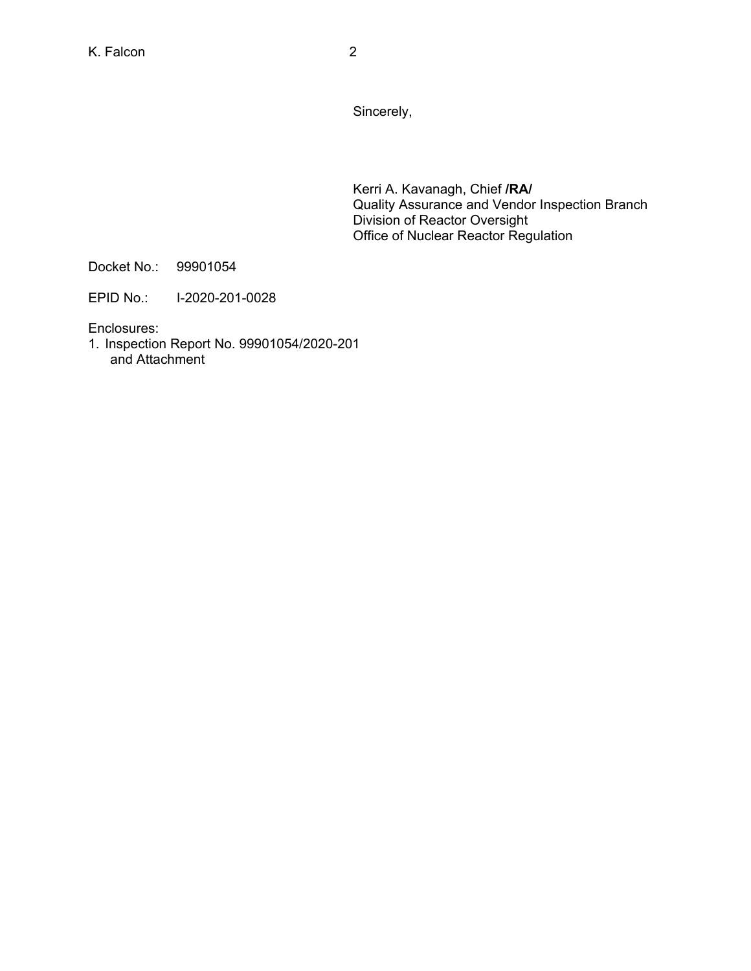Kerri A. Kavanagh, Chief **/RA/**  Quality Assurance and Vendor Inspection Branch Division of Reactor Oversight Office of Nuclear Reactor Regulation

Docket No.: 99901054

EPID No.: I-2020-201-0028

Enclosures:

1. Inspection Report No. 99901054/2020-201 and Attachment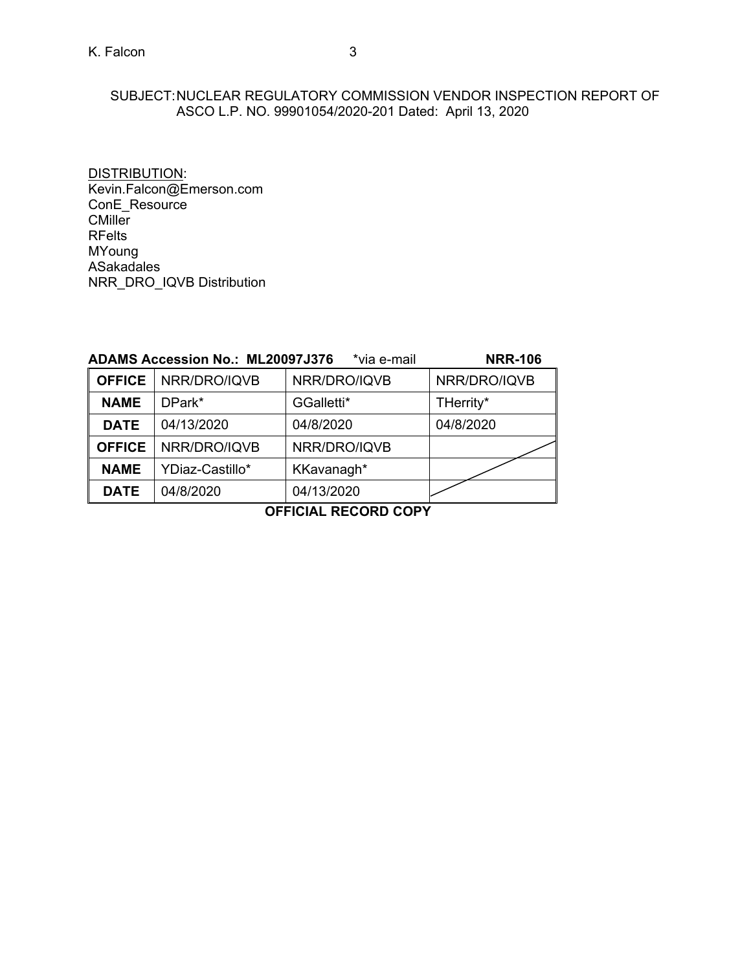# SUBJECT: NUCLEAR REGULATORY COMMISSION VENDOR INSPECTION REPORT OF ASCO L.P. NO. 99901054/2020-201 Dated: April 13, 2020

DISTRIBUTION: Kevin.Falcon@Emerson.com ConE\_Resource CMiller RFelts MYoung ASakadales NRR\_DRO\_IQVB Distribution

|               | <b>ADAMS Accession No.: ML20097J376</b> | <b>NRR-106</b> |              |
|---------------|-----------------------------------------|----------------|--------------|
| <b>OFFICE</b> | NRR/DRO/IQVB                            | NRR/DRO/IQVB   | NRR/DRO/IQVB |
| <b>NAME</b>   | DPark*                                  | GGalletti*     | THerrity*    |
| <b>DATE</b>   | 04/13/2020                              | 04/8/2020      | 04/8/2020    |
| <b>OFFICE</b> | NRR/DRO/IQVB                            | NRR/DRO/IQVB   |              |
| <b>NAME</b>   | YDiaz-Castillo*                         | KKavanagh*     |              |
| <b>DATE</b>   | 04/8/2020                               | 04/13/2020     |              |

**OFFICIAL RECORD COPY**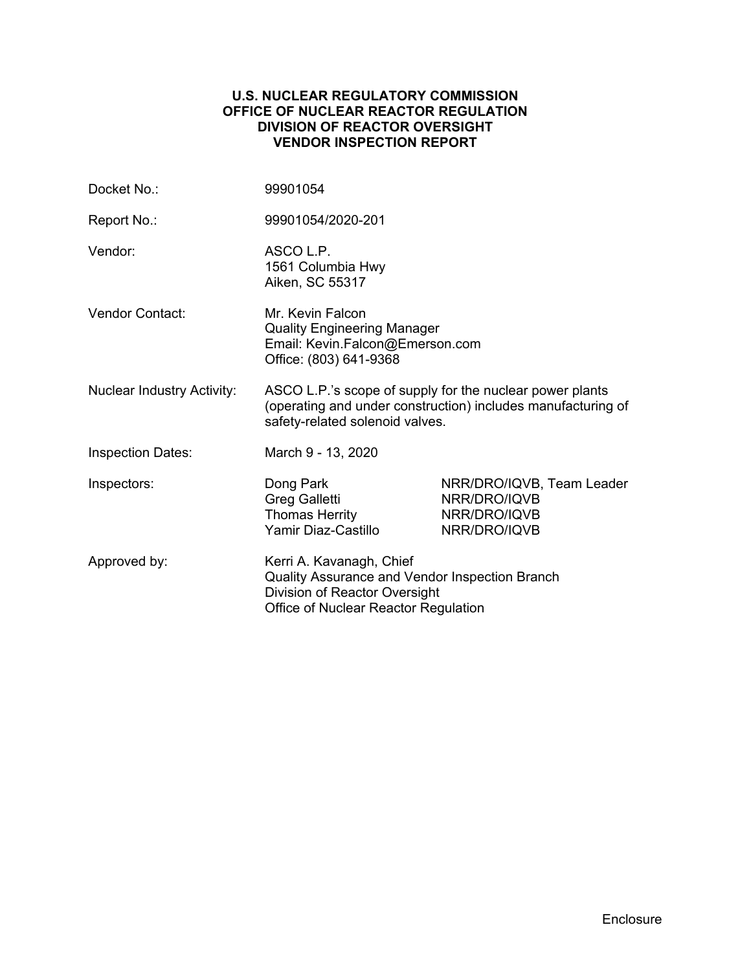# **U.S. NUCLEAR REGULATORY COMMISSION OFFICE OF NUCLEAR REACTOR REGULATION DIVISION OF REACTOR OVERSIGHT VENDOR INSPECTION REPORT**

| Docket No.:                       | 99901054                                                                                                                                                    |                                                                           |  |
|-----------------------------------|-------------------------------------------------------------------------------------------------------------------------------------------------------------|---------------------------------------------------------------------------|--|
| Report No.:                       | 99901054/2020-201                                                                                                                                           |                                                                           |  |
| Vendor:                           | ASCO L.P.<br>1561 Columbia Hwy<br>Aiken, SC 55317                                                                                                           |                                                                           |  |
| <b>Vendor Contact:</b>            | Mr. Kevin Falcon<br><b>Quality Engineering Manager</b><br>Email: Kevin.Falcon@Emerson.com<br>Office: (803) 641-9368                                         |                                                                           |  |
| <b>Nuclear Industry Activity:</b> | ASCO L.P.'s scope of supply for the nuclear power plants<br>(operating and under construction) includes manufacturing of<br>safety-related solenoid valves. |                                                                           |  |
| <b>Inspection Dates:</b>          | March 9 - 13, 2020                                                                                                                                          |                                                                           |  |
| Inspectors:                       | Dong Park<br>Greg Galletti<br><b>Thomas Herrity</b><br>Yamir Diaz-Castillo                                                                                  | NRR/DRO/IQVB, Team Leader<br>NRR/DRO/IQVB<br>NRR/DRO/IQVB<br>NRR/DRO/IQVB |  |
| Approved by:                      | Kerri A. Kavanagh, Chief<br>Quality Assurance and Vendor Inspection Branch<br>Division of Reactor Oversight<br>Office of Nuclear Reactor Regulation         |                                                                           |  |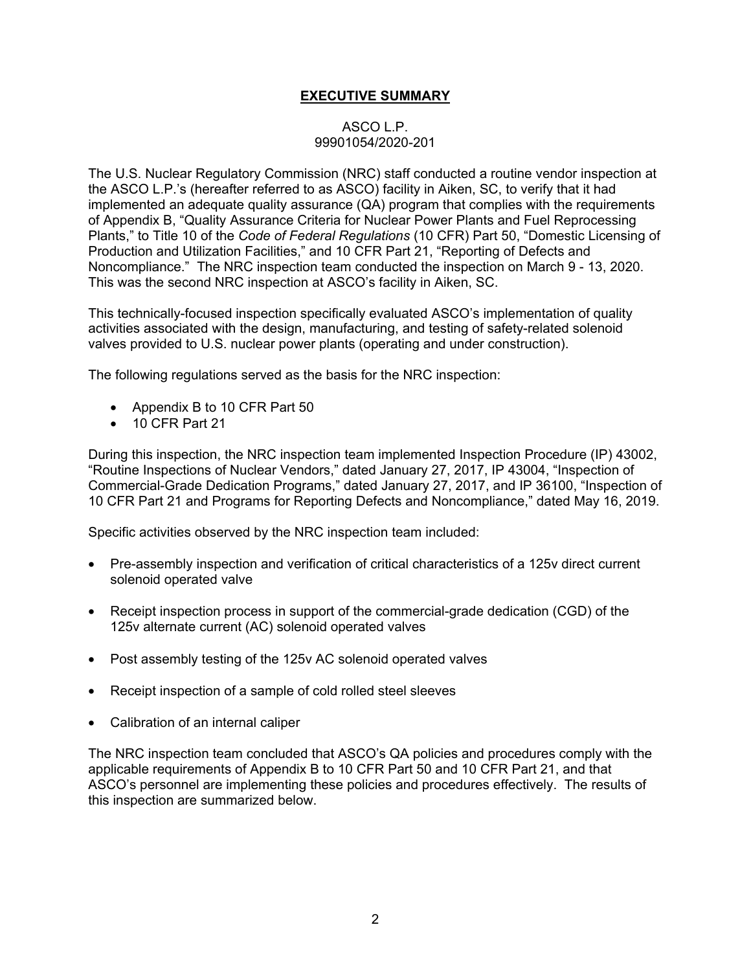# **EXECUTIVE SUMMARY**

# ASCO L.P. 99901054/2020-201

The U.S. Nuclear Regulatory Commission (NRC) staff conducted a routine vendor inspection at the ASCO L.P.'s (hereafter referred to as ASCO) facility in Aiken, SC, to verify that it had implemented an adequate quality assurance (QA) program that complies with the requirements of Appendix B, "Quality Assurance Criteria for Nuclear Power Plants and Fuel Reprocessing Plants," to Title 10 of the *Code of Federal Regulations* (10 CFR) Part 50, "Domestic Licensing of Production and Utilization Facilities," and 10 CFR Part 21, "Reporting of Defects and Noncompliance." The NRC inspection team conducted the inspection on March 9 - 13, 2020. This was the second NRC inspection at ASCO's facility in Aiken, SC.

This technically-focused inspection specifically evaluated ASCO's implementation of quality activities associated with the design, manufacturing, and testing of safety-related solenoid valves provided to U.S. nuclear power plants (operating and under construction).

The following regulations served as the basis for the NRC inspection:

- Appendix B to 10 CFR Part 50
- 10 CFR Part 21

During this inspection, the NRC inspection team implemented Inspection Procedure (IP) 43002, "Routine Inspections of Nuclear Vendors," dated January 27, 2017, IP 43004, "Inspection of Commercial-Grade Dedication Programs," dated January 27, 2017, and IP 36100, "Inspection of 10 CFR Part 21 and Programs for Reporting Defects and Noncompliance," dated May 16, 2019.

Specific activities observed by the NRC inspection team included:

- Pre-assembly inspection and verification of critical characteristics of a 125v direct current solenoid operated valve
- Receipt inspection process in support of the commercial-grade dedication (CGD) of the 125v alternate current (AC) solenoid operated valves
- Post assembly testing of the 125v AC solenoid operated valves
- Receipt inspection of a sample of cold rolled steel sleeves
- Calibration of an internal caliper

The NRC inspection team concluded that ASCO's QA policies and procedures comply with the applicable requirements of Appendix B to 10 CFR Part 50 and 10 CFR Part 21, and that ASCO's personnel are implementing these policies and procedures effectively. The results of this inspection are summarized below.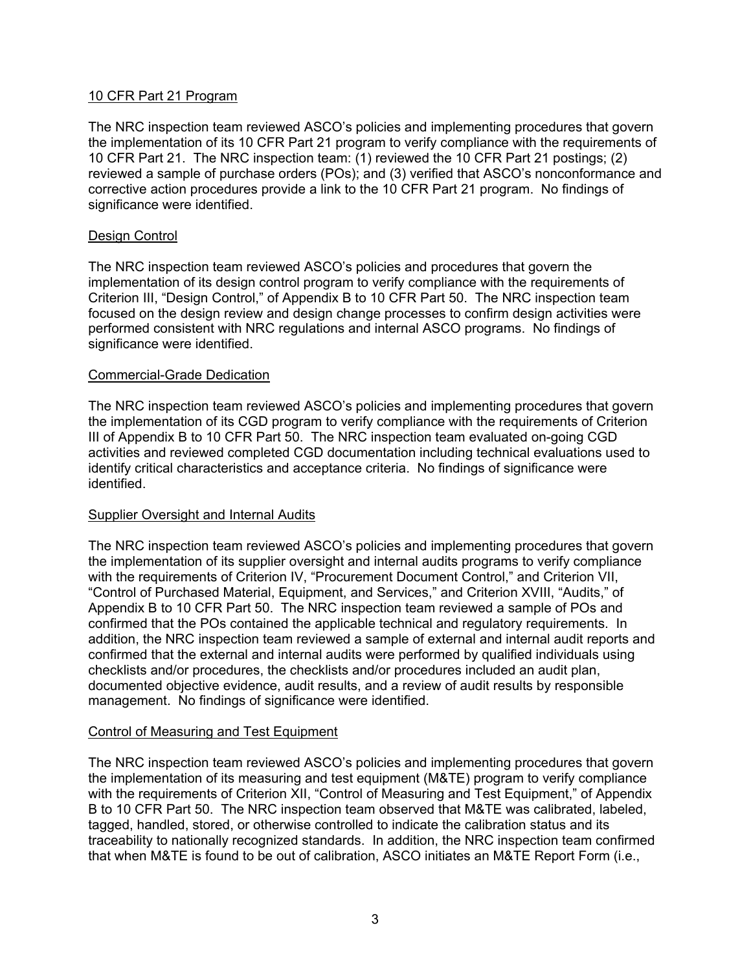# 10 CFR Part 21 Program

The NRC inspection team reviewed ASCO's policies and implementing procedures that govern the implementation of its 10 CFR Part 21 program to verify compliance with the requirements of 10 CFR Part 21. The NRC inspection team: (1) reviewed the 10 CFR Part 21 postings; (2) reviewed a sample of purchase orders (POs); and (3) verified that ASCO's nonconformance and corrective action procedures provide a link to the 10 CFR Part 21 program. No findings of significance were identified.

# Design Control

The NRC inspection team reviewed ASCO's policies and procedures that govern the implementation of its design control program to verify compliance with the requirements of Criterion III, "Design Control," of Appendix B to 10 CFR Part 50. The NRC inspection team focused on the design review and design change processes to confirm design activities were performed consistent with NRC regulations and internal ASCO programs. No findings of significance were identified.

#### Commercial-Grade Dedication

The NRC inspection team reviewed ASCO's policies and implementing procedures that govern the implementation of its CGD program to verify compliance with the requirements of Criterion III of Appendix B to 10 CFR Part 50. The NRC inspection team evaluated on-going CGD activities and reviewed completed CGD documentation including technical evaluations used to identify critical characteristics and acceptance criteria. No findings of significance were identified.

# Supplier Oversight and Internal Audits

The NRC inspection team reviewed ASCO's policies and implementing procedures that govern the implementation of its supplier oversight and internal audits programs to verify compliance with the requirements of Criterion IV, "Procurement Document Control," and Criterion VII, "Control of Purchased Material, Equipment, and Services," and Criterion XVIII, "Audits," of Appendix B to 10 CFR Part 50. The NRC inspection team reviewed a sample of POs and confirmed that the POs contained the applicable technical and regulatory requirements. In addition, the NRC inspection team reviewed a sample of external and internal audit reports and confirmed that the external and internal audits were performed by qualified individuals using checklists and/or procedures, the checklists and/or procedures included an audit plan, documented objective evidence, audit results, and a review of audit results by responsible management. No findings of significance were identified.

#### Control of Measuring and Test Equipment

The NRC inspection team reviewed ASCO's policies and implementing procedures that govern the implementation of its measuring and test equipment (M&TE) program to verify compliance with the requirements of Criterion XII, "Control of Measuring and Test Equipment," of Appendix B to 10 CFR Part 50. The NRC inspection team observed that M&TE was calibrated, labeled, tagged, handled, stored, or otherwise controlled to indicate the calibration status and its traceability to nationally recognized standards. In addition, the NRC inspection team confirmed that when M&TE is found to be out of calibration, ASCO initiates an M&TE Report Form (i.e.,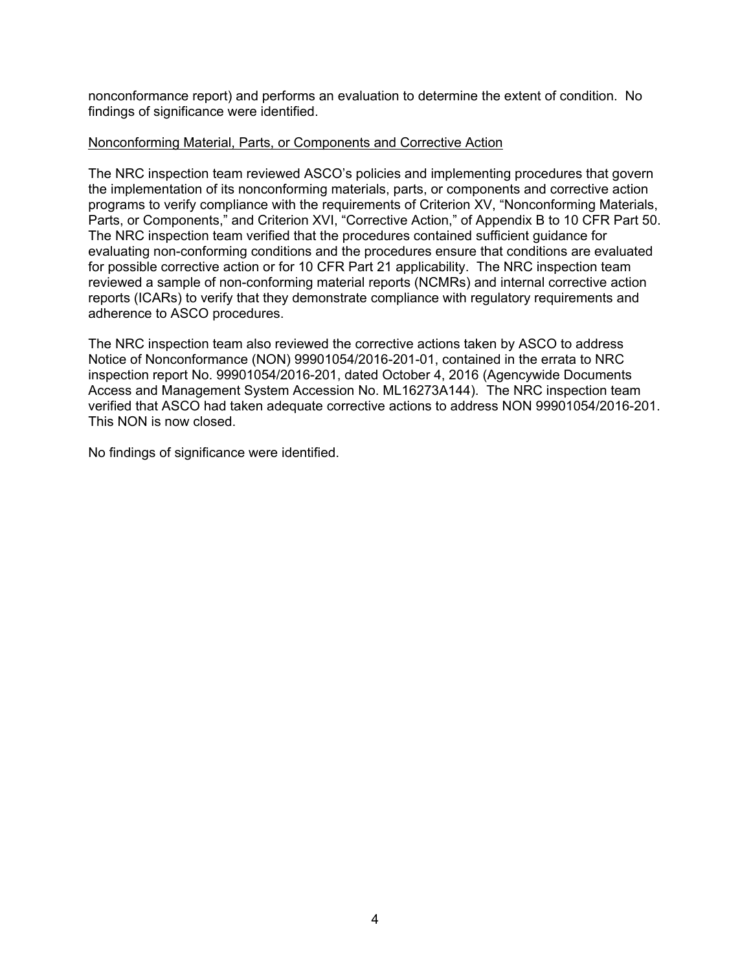nonconformance report) and performs an evaluation to determine the extent of condition. No findings of significance were identified.

### Nonconforming Material, Parts, or Components and Corrective Action

The NRC inspection team reviewed ASCO's policies and implementing procedures that govern the implementation of its nonconforming materials, parts, or components and corrective action programs to verify compliance with the requirements of Criterion XV, "Nonconforming Materials, Parts, or Components," and Criterion XVI, "Corrective Action," of Appendix B to 10 CFR Part 50. The NRC inspection team verified that the procedures contained sufficient guidance for evaluating non-conforming conditions and the procedures ensure that conditions are evaluated for possible corrective action or for 10 CFR Part 21 applicability. The NRC inspection team reviewed a sample of non-conforming material reports (NCMRs) and internal corrective action reports (ICARs) to verify that they demonstrate compliance with regulatory requirements and adherence to ASCO procedures.

The NRC inspection team also reviewed the corrective actions taken by ASCO to address Notice of Nonconformance (NON) 99901054/2016-201-01, contained in the errata to NRC inspection report No. 99901054/2016-201, dated October 4, 2016 (Agencywide Documents Access and Management System Accession No. ML16273A144). The NRC inspection team verified that ASCO had taken adequate corrective actions to address NON 99901054/2016-201. This NON is now closed.

No findings of significance were identified.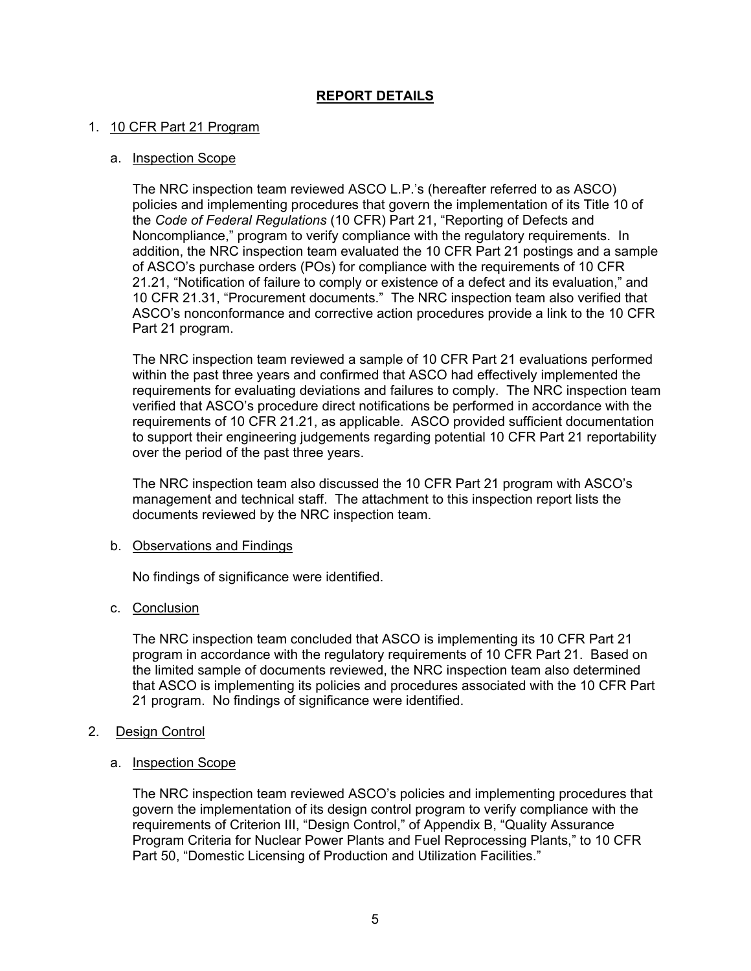# **REPORT DETAILS**

# 1. 10 CFR Part 21 Program

### a. Inspection Scope

The NRC inspection team reviewed ASCO L.P.'s (hereafter referred to as ASCO) policies and implementing procedures that govern the implementation of its Title 10 of the *Code of Federal Regulations* (10 CFR) Part 21, "Reporting of Defects and Noncompliance," program to verify compliance with the regulatory requirements. In addition, the NRC inspection team evaluated the 10 CFR Part 21 postings and a sample of ASCO's purchase orders (POs) for compliance with the requirements of 10 CFR 21.21, "Notification of failure to comply or existence of a defect and its evaluation," and 10 CFR 21.31, "Procurement documents." The NRC inspection team also verified that ASCO's nonconformance and corrective action procedures provide a link to the 10 CFR Part 21 program.

The NRC inspection team reviewed a sample of 10 CFR Part 21 evaluations performed within the past three years and confirmed that ASCO had effectively implemented the requirements for evaluating deviations and failures to comply. The NRC inspection team verified that ASCO's procedure direct notifications be performed in accordance with the requirements of 10 CFR 21.21, as applicable. ASCO provided sufficient documentation to support their engineering judgements regarding potential 10 CFR Part 21 reportability over the period of the past three years.

The NRC inspection team also discussed the 10 CFR Part 21 program with ASCO's management and technical staff. The attachment to this inspection report lists the documents reviewed by the NRC inspection team.

#### b. Observations and Findings

No findings of significance were identified.

# c. Conclusion

The NRC inspection team concluded that ASCO is implementing its 10 CFR Part 21 program in accordance with the regulatory requirements of 10 CFR Part 21. Based on the limited sample of documents reviewed, the NRC inspection team also determined that ASCO is implementing its policies and procedures associated with the 10 CFR Part 21 program. No findings of significance were identified.

# 2. Design Control

#### a. Inspection Scope

The NRC inspection team reviewed ASCO's policies and implementing procedures that govern the implementation of its design control program to verify compliance with the requirements of Criterion III, "Design Control," of Appendix B, "Quality Assurance Program Criteria for Nuclear Power Plants and Fuel Reprocessing Plants," to 10 CFR Part 50, "Domestic Licensing of Production and Utilization Facilities."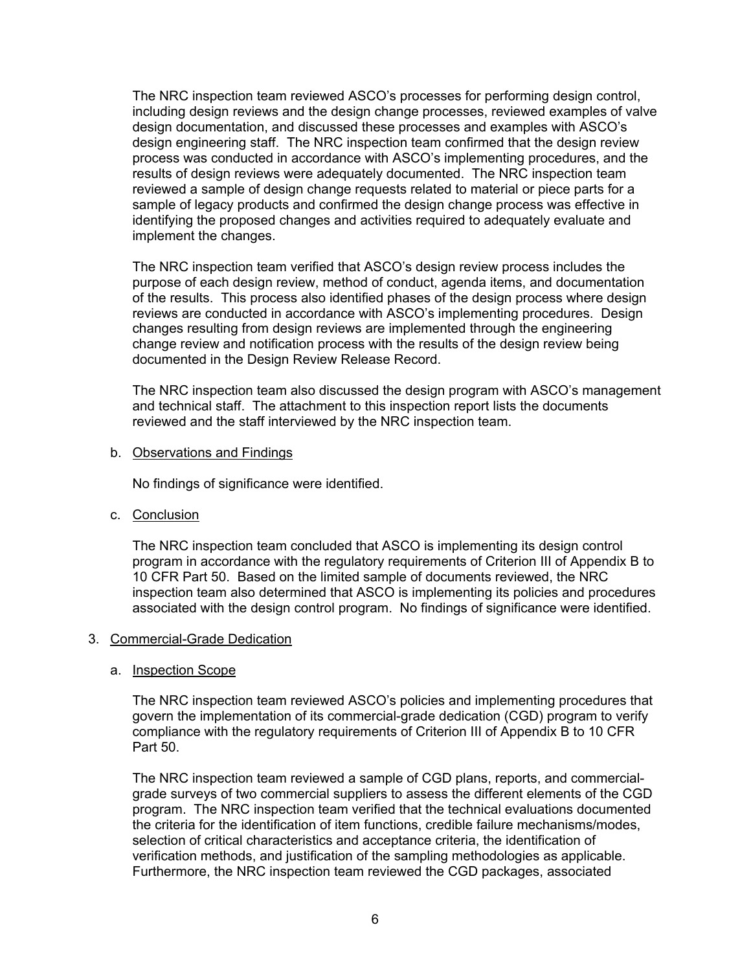The NRC inspection team reviewed ASCO's processes for performing design control, including design reviews and the design change processes, reviewed examples of valve design documentation, and discussed these processes and examples with ASCO's design engineering staff. The NRC inspection team confirmed that the design review process was conducted in accordance with ASCO's implementing procedures, and the results of design reviews were adequately documented. The NRC inspection team reviewed a sample of design change requests related to material or piece parts for a sample of legacy products and confirmed the design change process was effective in identifying the proposed changes and activities required to adequately evaluate and implement the changes.

The NRC inspection team verified that ASCO's design review process includes the purpose of each design review, method of conduct, agenda items, and documentation of the results. This process also identified phases of the design process where design reviews are conducted in accordance with ASCO's implementing procedures. Design changes resulting from design reviews are implemented through the engineering change review and notification process with the results of the design review being documented in the Design Review Release Record.

The NRC inspection team also discussed the design program with ASCO's management and technical staff. The attachment to this inspection report lists the documents reviewed and the staff interviewed by the NRC inspection team.

b. Observations and Findings

No findings of significance were identified.

c. Conclusion

The NRC inspection team concluded that ASCO is implementing its design control program in accordance with the regulatory requirements of Criterion III of Appendix B to 10 CFR Part 50. Based on the limited sample of documents reviewed, the NRC inspection team also determined that ASCO is implementing its policies and procedures associated with the design control program. No findings of significance were identified.

#### 3. Commercial-Grade Dedication

#### a. Inspection Scope

The NRC inspection team reviewed ASCO's policies and implementing procedures that govern the implementation of its commercial-grade dedication (CGD) program to verify compliance with the regulatory requirements of Criterion III of Appendix B to 10 CFR Part 50.

The NRC inspection team reviewed a sample of CGD plans, reports, and commercialgrade surveys of two commercial suppliers to assess the different elements of the CGD program. The NRC inspection team verified that the technical evaluations documented the criteria for the identification of item functions, credible failure mechanisms/modes, selection of critical characteristics and acceptance criteria, the identification of verification methods, and justification of the sampling methodologies as applicable. Furthermore, the NRC inspection team reviewed the CGD packages, associated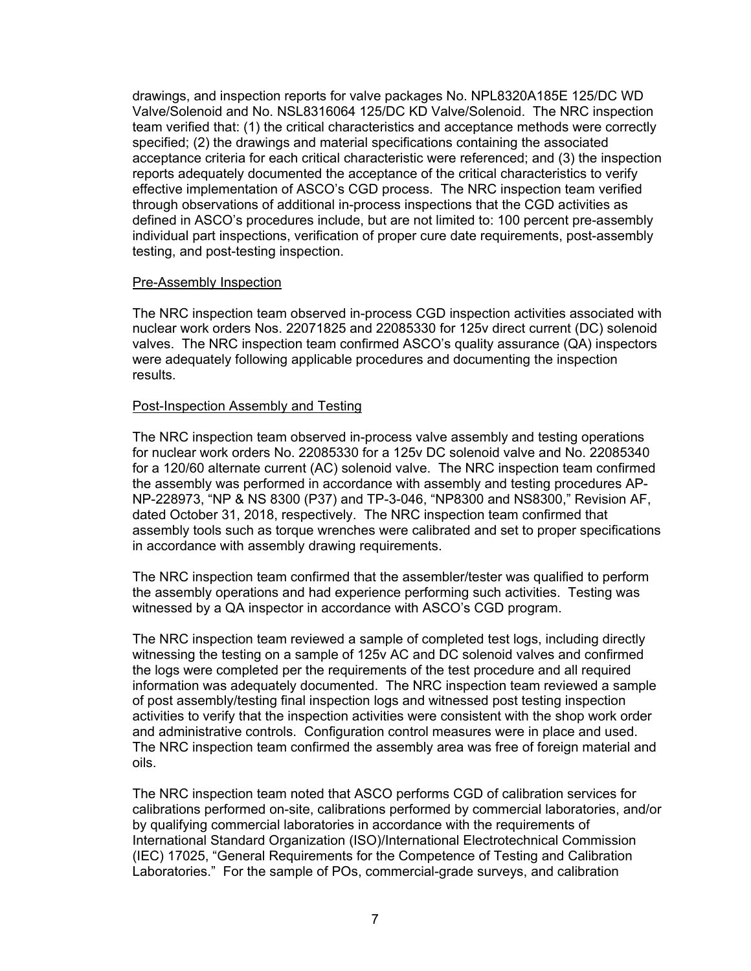drawings, and inspection reports for valve packages No. NPL8320A185E 125/DC WD Valve/Solenoid and No. NSL8316064 125/DC KD Valve/Solenoid. The NRC inspection team verified that: (1) the critical characteristics and acceptance methods were correctly specified; (2) the drawings and material specifications containing the associated acceptance criteria for each critical characteristic were referenced; and (3) the inspection reports adequately documented the acceptance of the critical characteristics to verify effective implementation of ASCO's CGD process. The NRC inspection team verified through observations of additional in-process inspections that the CGD activities as defined in ASCO's procedures include, but are not limited to: 100 percent pre-assembly individual part inspections, verification of proper cure date requirements, post-assembly testing, and post-testing inspection.

#### Pre-Assembly Inspection

The NRC inspection team observed in-process CGD inspection activities associated with nuclear work orders Nos. 22071825 and 22085330 for 125v direct current (DC) solenoid valves. The NRC inspection team confirmed ASCO's quality assurance (QA) inspectors were adequately following applicable procedures and documenting the inspection results.

#### Post-Inspection Assembly and Testing

The NRC inspection team observed in-process valve assembly and testing operations for nuclear work orders No. 22085330 for a 125v DC solenoid valve and No. 22085340 for a 120/60 alternate current (AC) solenoid valve. The NRC inspection team confirmed the assembly was performed in accordance with assembly and testing procedures AP-NP-228973, "NP & NS 8300 (P37) and TP-3-046, "NP8300 and NS8300," Revision AF, dated October 31, 2018, respectively. The NRC inspection team confirmed that assembly tools such as torque wrenches were calibrated and set to proper specifications in accordance with assembly drawing requirements.

The NRC inspection team confirmed that the assembler/tester was qualified to perform the assembly operations and had experience performing such activities. Testing was witnessed by a QA inspector in accordance with ASCO's CGD program.

The NRC inspection team reviewed a sample of completed test logs, including directly witnessing the testing on a sample of 125v AC and DC solenoid valves and confirmed the logs were completed per the requirements of the test procedure and all required information was adequately documented. The NRC inspection team reviewed a sample of post assembly/testing final inspection logs and witnessed post testing inspection activities to verify that the inspection activities were consistent with the shop work order and administrative controls. Configuration control measures were in place and used. The NRC inspection team confirmed the assembly area was free of foreign material and oils.

The NRC inspection team noted that ASCO performs CGD of calibration services for calibrations performed on-site, calibrations performed by commercial laboratories, and/or by qualifying commercial laboratories in accordance with the requirements of International Standard Organization (ISO)/International Electrotechnical Commission (IEC) 17025, "General Requirements for the Competence of Testing and Calibration Laboratories." For the sample of POs, commercial-grade surveys, and calibration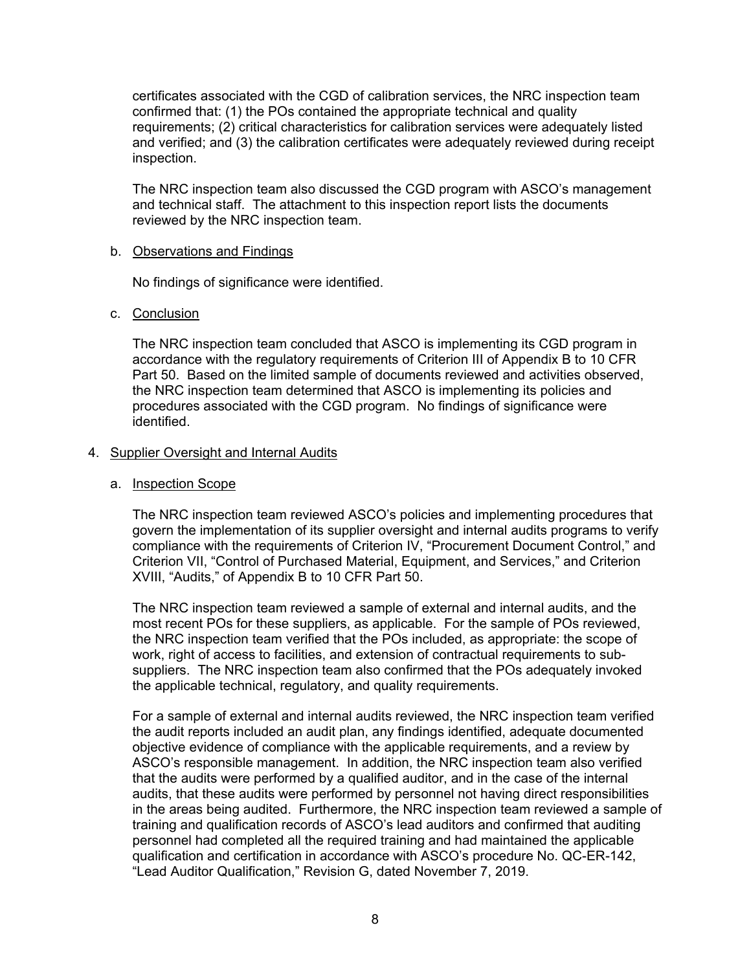certificates associated with the CGD of calibration services, the NRC inspection team confirmed that: (1) the POs contained the appropriate technical and quality requirements; (2) critical characteristics for calibration services were adequately listed and verified; and (3) the calibration certificates were adequately reviewed during receipt inspection.

The NRC inspection team also discussed the CGD program with ASCO's management and technical staff. The attachment to this inspection report lists the documents reviewed by the NRC inspection team.

# b. Observations and Findings

No findings of significance were identified.

# c. Conclusion

The NRC inspection team concluded that ASCO is implementing its CGD program in accordance with the regulatory requirements of Criterion III of Appendix B to 10 CFR Part 50. Based on the limited sample of documents reviewed and activities observed, the NRC inspection team determined that ASCO is implementing its policies and procedures associated with the CGD program. No findings of significance were identified.

# 4. Supplier Oversight and Internal Audits

### a. Inspection Scope

The NRC inspection team reviewed ASCO's policies and implementing procedures that govern the implementation of its supplier oversight and internal audits programs to verify compliance with the requirements of Criterion IV, "Procurement Document Control," and Criterion VII, "Control of Purchased Material, Equipment, and Services," and Criterion XVIII, "Audits," of Appendix B to 10 CFR Part 50.

The NRC inspection team reviewed a sample of external and internal audits, and the most recent POs for these suppliers, as applicable. For the sample of POs reviewed, the NRC inspection team verified that the POs included, as appropriate: the scope of work, right of access to facilities, and extension of contractual requirements to subsuppliers. The NRC inspection team also confirmed that the POs adequately invoked the applicable technical, regulatory, and quality requirements.

For a sample of external and internal audits reviewed, the NRC inspection team verified the audit reports included an audit plan, any findings identified, adequate documented objective evidence of compliance with the applicable requirements, and a review by ASCO's responsible management. In addition, the NRC inspection team also verified that the audits were performed by a qualified auditor, and in the case of the internal audits, that these audits were performed by personnel not having direct responsibilities in the areas being audited. Furthermore, the NRC inspection team reviewed a sample of training and qualification records of ASCO's lead auditors and confirmed that auditing personnel had completed all the required training and had maintained the applicable qualification and certification in accordance with ASCO's procedure No. QC-ER-142, "Lead Auditor Qualification," Revision G, dated November 7, 2019.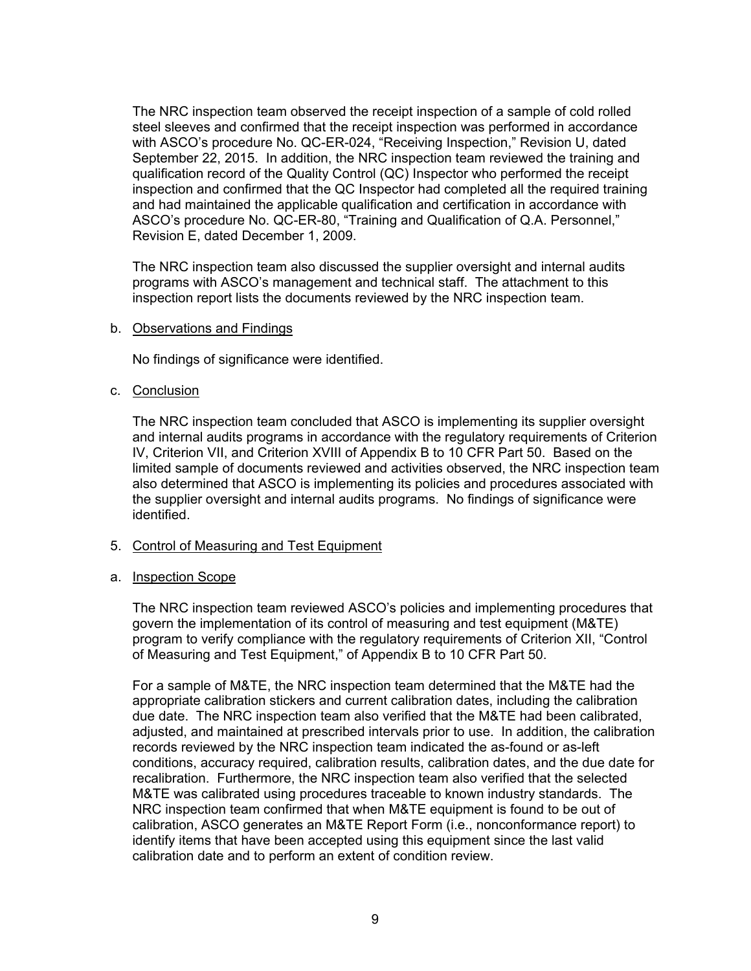The NRC inspection team observed the receipt inspection of a sample of cold rolled steel sleeves and confirmed that the receipt inspection was performed in accordance with ASCO's procedure No. QC-ER-024, "Receiving Inspection," Revision U, dated September 22, 2015. In addition, the NRC inspection team reviewed the training and qualification record of the Quality Control (QC) Inspector who performed the receipt inspection and confirmed that the QC Inspector had completed all the required training and had maintained the applicable qualification and certification in accordance with ASCO's procedure No. QC-ER-80, "Training and Qualification of Q.A. Personnel," Revision E, dated December 1, 2009.

The NRC inspection team also discussed the supplier oversight and internal audits programs with ASCO's management and technical staff. The attachment to this inspection report lists the documents reviewed by the NRC inspection team.

#### b. Observations and Findings

No findings of significance were identified.

#### c. Conclusion

The NRC inspection team concluded that ASCO is implementing its supplier oversight and internal audits programs in accordance with the regulatory requirements of Criterion IV, Criterion VII, and Criterion XVIII of Appendix B to 10 CFR Part 50. Based on the limited sample of documents reviewed and activities observed, the NRC inspection team also determined that ASCO is implementing its policies and procedures associated with the supplier oversight and internal audits programs. No findings of significance were identified.

# 5. Control of Measuring and Test Equipment

#### a. Inspection Scope

The NRC inspection team reviewed ASCO's policies and implementing procedures that govern the implementation of its control of measuring and test equipment (M&TE) program to verify compliance with the regulatory requirements of Criterion XII, "Control of Measuring and Test Equipment," of Appendix B to 10 CFR Part 50.

For a sample of M&TE, the NRC inspection team determined that the M&TE had the appropriate calibration stickers and current calibration dates, including the calibration due date. The NRC inspection team also verified that the M&TE had been calibrated, adjusted, and maintained at prescribed intervals prior to use. In addition, the calibration records reviewed by the NRC inspection team indicated the as-found or as-left conditions, accuracy required, calibration results, calibration dates, and the due date for recalibration. Furthermore, the NRC inspection team also verified that the selected M&TE was calibrated using procedures traceable to known industry standards. The NRC inspection team confirmed that when M&TE equipment is found to be out of calibration, ASCO generates an M&TE Report Form (i.e., nonconformance report) to identify items that have been accepted using this equipment since the last valid calibration date and to perform an extent of condition review.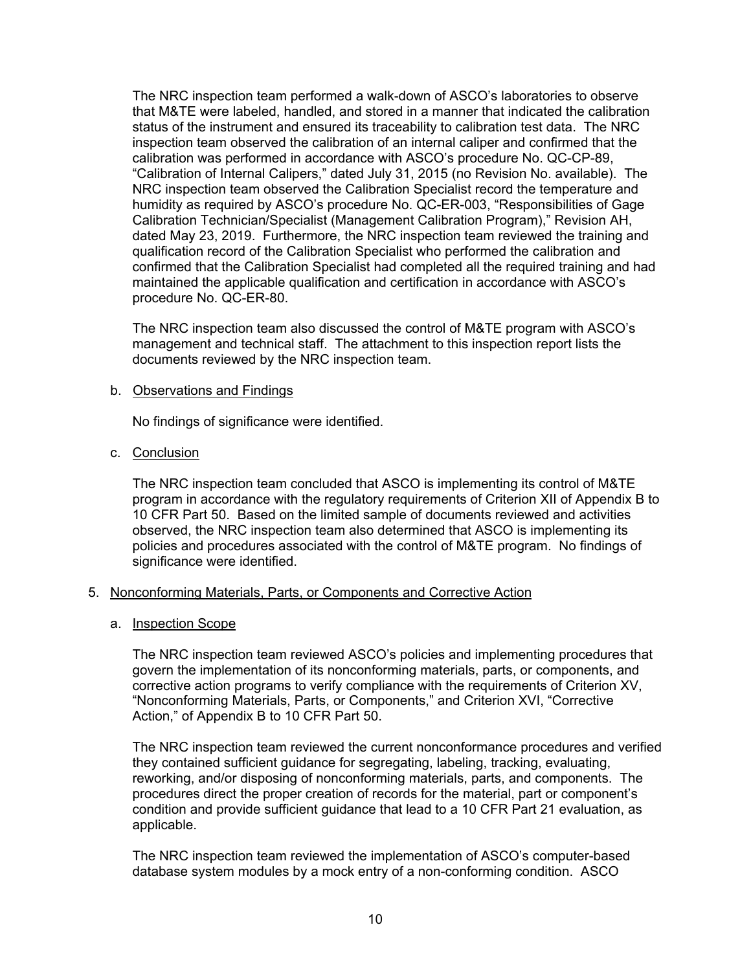The NRC inspection team performed a walk-down of ASCO's laboratories to observe that M&TE were labeled, handled, and stored in a manner that indicated the calibration status of the instrument and ensured its traceability to calibration test data. The NRC inspection team observed the calibration of an internal caliper and confirmed that the calibration was performed in accordance with ASCO's procedure No. QC-CP-89, "Calibration of Internal Calipers," dated July 31, 2015 (no Revision No. available). The NRC inspection team observed the Calibration Specialist record the temperature and humidity as required by ASCO's procedure No. QC-ER-003, "Responsibilities of Gage Calibration Technician/Specialist (Management Calibration Program)," Revision AH, dated May 23, 2019. Furthermore, the NRC inspection team reviewed the training and qualification record of the Calibration Specialist who performed the calibration and confirmed that the Calibration Specialist had completed all the required training and had maintained the applicable qualification and certification in accordance with ASCO's procedure No. QC-ER-80.

The NRC inspection team also discussed the control of M&TE program with ASCO's management and technical staff. The attachment to this inspection report lists the documents reviewed by the NRC inspection team.

#### b. Observations and Findings

No findings of significance were identified.

#### c. Conclusion

The NRC inspection team concluded that ASCO is implementing its control of M&TE program in accordance with the regulatory requirements of Criterion XII of Appendix B to 10 CFR Part 50. Based on the limited sample of documents reviewed and activities observed, the NRC inspection team also determined that ASCO is implementing its policies and procedures associated with the control of M&TE program. No findings of significance were identified.

#### 5. Nonconforming Materials, Parts, or Components and Corrective Action

#### a. Inspection Scope

The NRC inspection team reviewed ASCO's policies and implementing procedures that govern the implementation of its nonconforming materials, parts, or components, and corrective action programs to verify compliance with the requirements of Criterion XV, "Nonconforming Materials, Parts, or Components," and Criterion XVI, "Corrective Action," of Appendix B to 10 CFR Part 50.

The NRC inspection team reviewed the current nonconformance procedures and verified they contained sufficient guidance for segregating, labeling, tracking, evaluating, reworking, and/or disposing of nonconforming materials, parts, and components. The procedures direct the proper creation of records for the material, part or component's condition and provide sufficient guidance that lead to a 10 CFR Part 21 evaluation, as applicable.

The NRC inspection team reviewed the implementation of ASCO's computer-based database system modules by a mock entry of a non-conforming condition. ASCO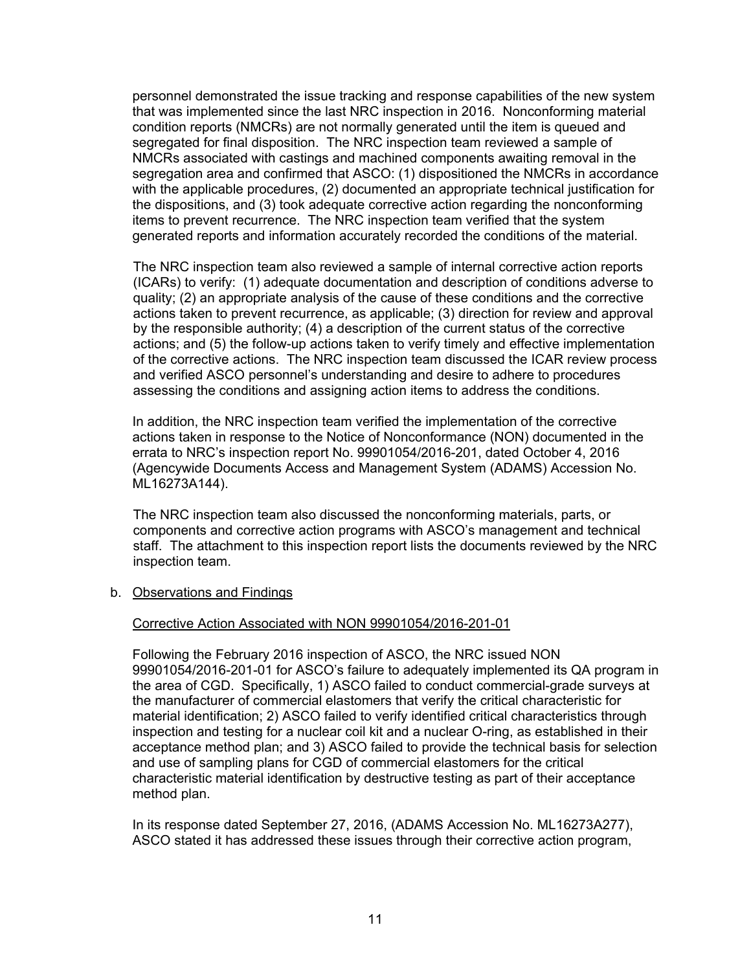personnel demonstrated the issue tracking and response capabilities of the new system that was implemented since the last NRC inspection in 2016. Nonconforming material condition reports (NMCRs) are not normally generated until the item is queued and segregated for final disposition. The NRC inspection team reviewed a sample of NMCRs associated with castings and machined components awaiting removal in the segregation area and confirmed that ASCO: (1) dispositioned the NMCRs in accordance with the applicable procedures, (2) documented an appropriate technical justification for the dispositions, and (3) took adequate corrective action regarding the nonconforming items to prevent recurrence. The NRC inspection team verified that the system generated reports and information accurately recorded the conditions of the material.

The NRC inspection team also reviewed a sample of internal corrective action reports (ICARs) to verify: (1) adequate documentation and description of conditions adverse to quality; (2) an appropriate analysis of the cause of these conditions and the corrective actions taken to prevent recurrence, as applicable; (3) direction for review and approval by the responsible authority; (4) a description of the current status of the corrective actions; and (5) the follow-up actions taken to verify timely and effective implementation of the corrective actions. The NRC inspection team discussed the ICAR review process and verified ASCO personnel's understanding and desire to adhere to procedures assessing the conditions and assigning action items to address the conditions.

In addition, the NRC inspection team verified the implementation of the corrective actions taken in response to the Notice of Nonconformance (NON) documented in the errata to NRC's inspection report No. 99901054/2016-201, dated October 4, 2016 (Agencywide Documents Access and Management System (ADAMS) Accession No. ML16273A144).

The NRC inspection team also discussed the nonconforming materials, parts, or components and corrective action programs with ASCO's management and technical staff. The attachment to this inspection report lists the documents reviewed by the NRC inspection team.

#### b. Observations and Findings

#### Corrective Action Associated with NON 99901054/2016-201-01

Following the February 2016 inspection of ASCO, the NRC issued NON 99901054/2016-201-01 for ASCO's failure to adequately implemented its QA program in the area of CGD. Specifically, 1) ASCO failed to conduct commercial-grade surveys at the manufacturer of commercial elastomers that verify the critical characteristic for material identification; 2) ASCO failed to verify identified critical characteristics through inspection and testing for a nuclear coil kit and a nuclear O-ring, as established in their acceptance method plan; and 3) ASCO failed to provide the technical basis for selection and use of sampling plans for CGD of commercial elastomers for the critical characteristic material identification by destructive testing as part of their acceptance method plan.

In its response dated September 27, 2016, (ADAMS Accession No. ML16273A277), ASCO stated it has addressed these issues through their corrective action program,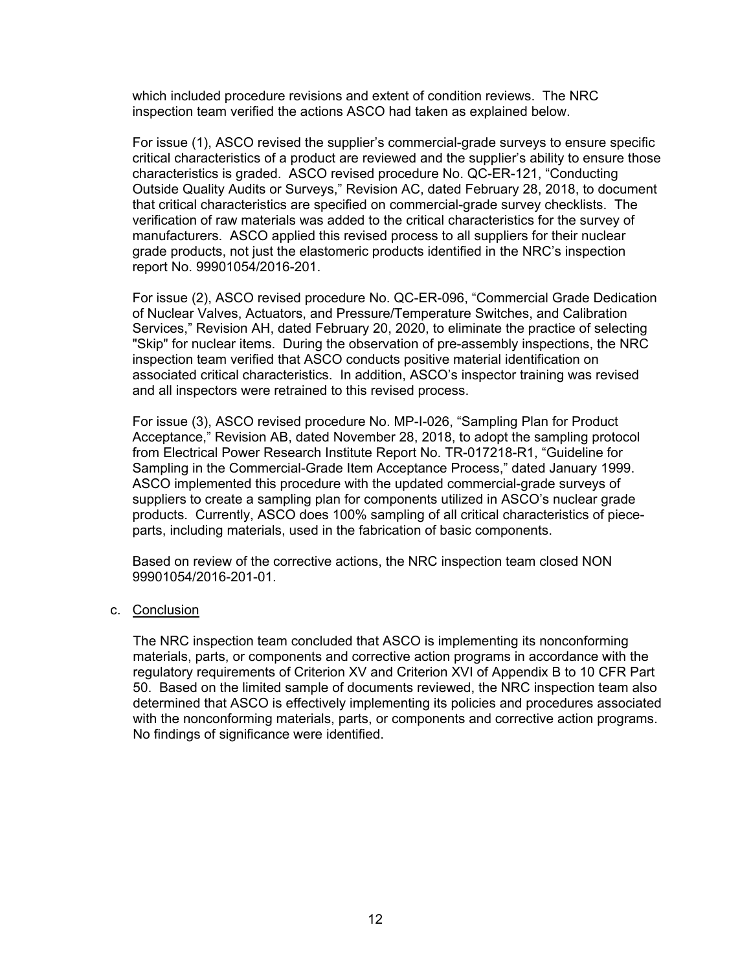which included procedure revisions and extent of condition reviews. The NRC inspection team verified the actions ASCO had taken as explained below.

For issue (1), ASCO revised the supplier's commercial-grade surveys to ensure specific critical characteristics of a product are reviewed and the supplier's ability to ensure those characteristics is graded. ASCO revised procedure No. QC-ER-121, "Conducting Outside Quality Audits or Surveys," Revision AC, dated February 28, 2018, to document that critical characteristics are specified on commercial-grade survey checklists. The verification of raw materials was added to the critical characteristics for the survey of manufacturers. ASCO applied this revised process to all suppliers for their nuclear grade products, not just the elastomeric products identified in the NRC's inspection report No. 99901054/2016-201.

For issue (2), ASCO revised procedure No. QC-ER-096, "Commercial Grade Dedication of Nuclear Valves, Actuators, and Pressure/Temperature Switches, and Calibration Services," Revision AH, dated February 20, 2020, to eliminate the practice of selecting "Skip" for nuclear items. During the observation of pre-assembly inspections, the NRC inspection team verified that ASCO conducts positive material identification on associated critical characteristics. In addition, ASCO's inspector training was revised and all inspectors were retrained to this revised process.

For issue (3), ASCO revised procedure No. MP-I-026, "Sampling Plan for Product Acceptance," Revision AB, dated November 28, 2018, to adopt the sampling protocol from Electrical Power Research Institute Report No. TR-017218-R1, "Guideline for Sampling in the Commercial-Grade Item Acceptance Process," dated January 1999. ASCO implemented this procedure with the updated commercial-grade surveys of suppliers to create a sampling plan for components utilized in ASCO's nuclear grade products. Currently, ASCO does 100% sampling of all critical characteristics of pieceparts, including materials, used in the fabrication of basic components.

Based on review of the corrective actions, the NRC inspection team closed NON 99901054/2016-201-01.

c. Conclusion

The NRC inspection team concluded that ASCO is implementing its nonconforming materials, parts, or components and corrective action programs in accordance with the regulatory requirements of Criterion XV and Criterion XVI of Appendix B to 10 CFR Part 50. Based on the limited sample of documents reviewed, the NRC inspection team also determined that ASCO is effectively implementing its policies and procedures associated with the nonconforming materials, parts, or components and corrective action programs. No findings of significance were identified.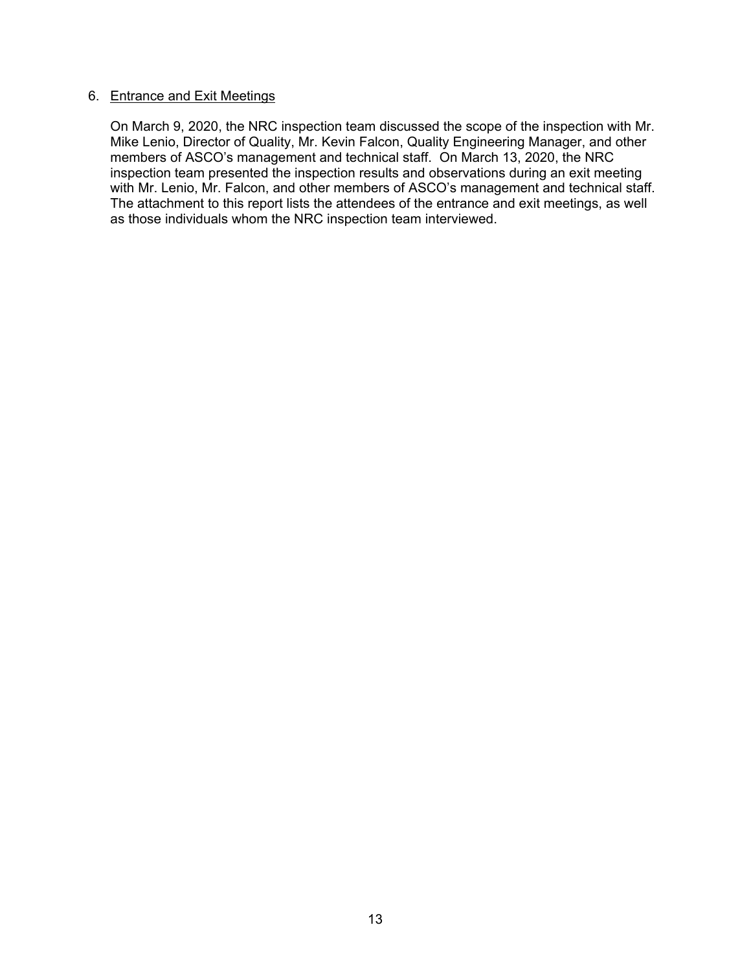# 6. Entrance and Exit Meetings

 On March 9, 2020, the NRC inspection team discussed the scope of the inspection with Mr. Mike Lenio, Director of Quality, Mr. Kevin Falcon, Quality Engineering Manager, and other members of ASCO's management and technical staff. On March 13, 2020, the NRC inspection team presented the inspection results and observations during an exit meeting with Mr. Lenio, Mr. Falcon, and other members of ASCO's management and technical staff. The attachment to this report lists the attendees of the entrance and exit meetings, as well as those individuals whom the NRC inspection team interviewed.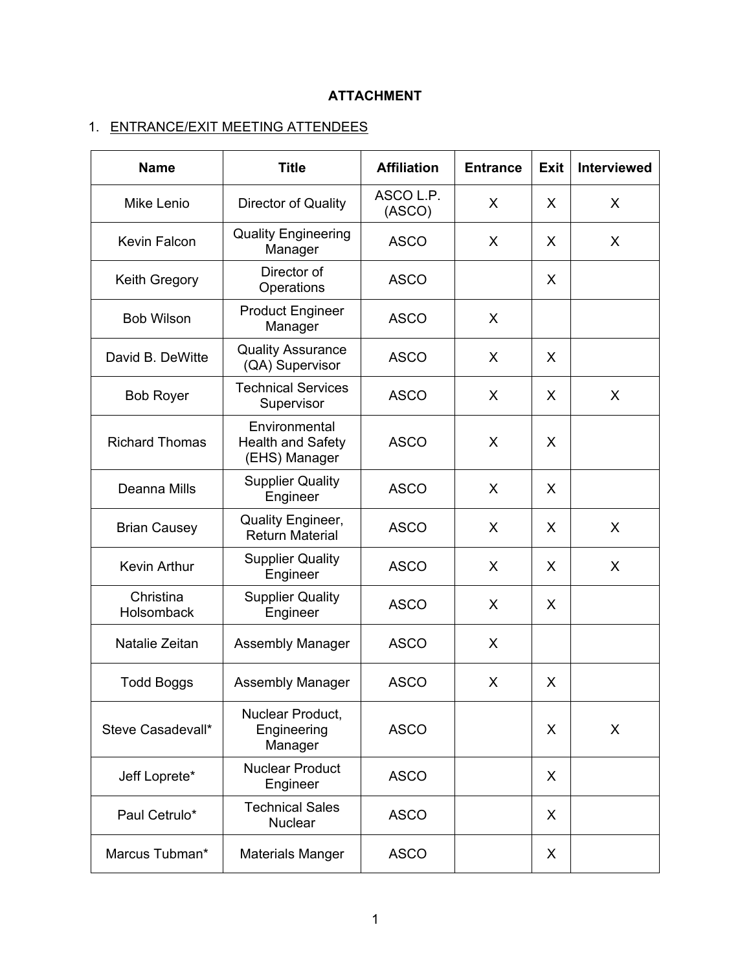# **ATTACHMENT**

# 1. ENTRANCE/EXIT MEETING ATTENDEES

| <b>Name</b>             | <b>Title</b>                                               | <b>Affiliation</b>  | <b>Entrance</b> | <b>Exit</b> | <b>Interviewed</b> |
|-------------------------|------------------------------------------------------------|---------------------|-----------------|-------------|--------------------|
| <b>Mike Lenio</b>       | Director of Quality                                        | ASCO L.P.<br>(ASCO) | X               | X           | X                  |
| Kevin Falcon            | <b>Quality Engineering</b><br>Manager                      | <b>ASCO</b>         | X               | X           | X                  |
| Keith Gregory           | Director of<br>Operations                                  | <b>ASCO</b>         |                 | X           |                    |
| <b>Bob Wilson</b>       | <b>Product Engineer</b><br>Manager                         | <b>ASCO</b>         | X               |             |                    |
| David B. DeWitte        | <b>Quality Assurance</b><br>(QA) Supervisor                | <b>ASCO</b>         | X               | X           |                    |
| <b>Bob Royer</b>        | <b>Technical Services</b><br>Supervisor                    | <b>ASCO</b>         | X               | X           | X                  |
| <b>Richard Thomas</b>   | Environmental<br><b>Health and Safety</b><br>(EHS) Manager | <b>ASCO</b>         | X               | X           |                    |
| Deanna Mills            | <b>Supplier Quality</b><br>Engineer                        | <b>ASCO</b>         | X               | X           |                    |
| <b>Brian Causey</b>     | Quality Engineer,<br><b>Return Material</b>                | <b>ASCO</b>         | X               | X           | X                  |
| Kevin Arthur            | <b>Supplier Quality</b><br>Engineer                        | <b>ASCO</b>         | X               | X           | X                  |
| Christina<br>Holsomback | <b>Supplier Quality</b><br>Engineer                        | <b>ASCO</b>         | X               | X           |                    |
| Natalie Zeitan          | <b>Assembly Manager</b>                                    | <b>ASCO</b>         | X               |             |                    |
| <b>Todd Boggs</b>       | <b>Assembly Manager</b>                                    | <b>ASCO</b>         | X               | X           |                    |
| Steve Casadevall*       | Nuclear Product,<br>Engineering<br>Manager                 | <b>ASCO</b>         |                 | X           | X                  |
| Jeff Loprete*           | <b>Nuclear Product</b><br>Engineer                         | <b>ASCO</b>         |                 | X           |                    |
| Paul Cetrulo*           | <b>Technical Sales</b><br><b>Nuclear</b>                   | <b>ASCO</b>         |                 | X           |                    |
| Marcus Tubman*          | <b>Materials Manger</b>                                    | <b>ASCO</b>         |                 | X           |                    |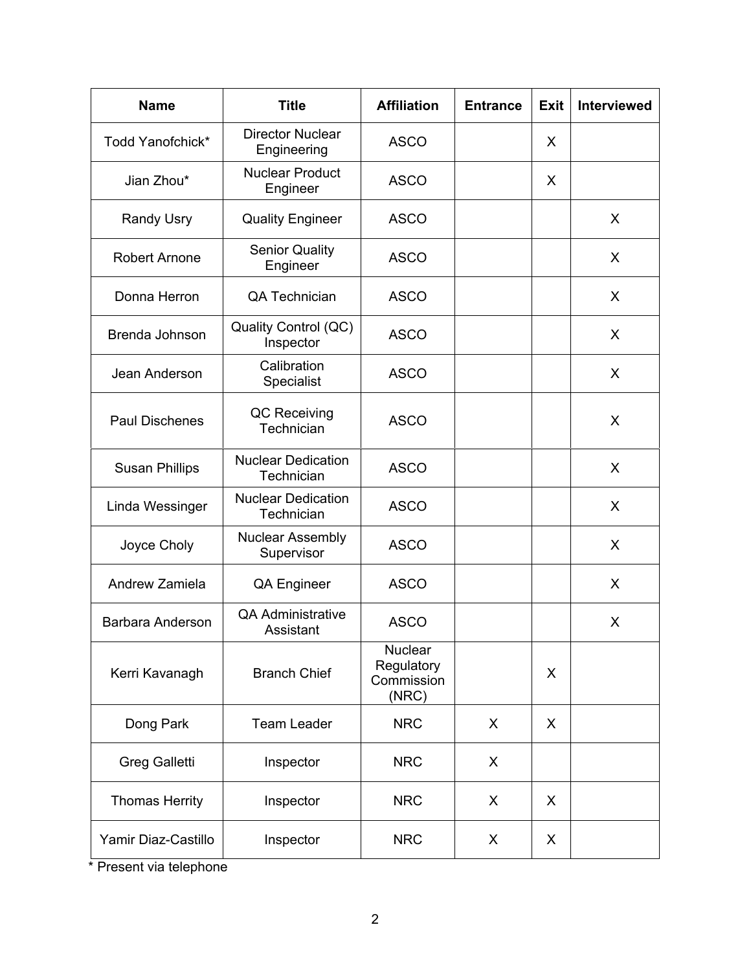| <b>Name</b>             | <b>Title</b>                            | <b>Affiliation</b>                                  | <b>Entrance</b> | Exit | <b>Interviewed</b> |
|-------------------------|-----------------------------------------|-----------------------------------------------------|-----------------|------|--------------------|
| Todd Yanofchick*        | <b>Director Nuclear</b><br>Engineering  | <b>ASCO</b>                                         |                 | X    |                    |
| Jian Zhou*              | <b>Nuclear Product</b><br>Engineer      | <b>ASCO</b>                                         |                 | X    |                    |
| <b>Randy Usry</b>       | <b>Quality Engineer</b>                 | <b>ASCO</b>                                         |                 |      | X                  |
| <b>Robert Arnone</b>    | <b>Senior Quality</b><br>Engineer       | <b>ASCO</b>                                         |                 |      | X                  |
| Donna Herron            | <b>QA Technician</b>                    | <b>ASCO</b>                                         |                 |      | X                  |
| Brenda Johnson          | Quality Control (QC)<br>Inspector       | <b>ASCO</b>                                         |                 |      | X                  |
| Jean Anderson           | Calibration<br>Specialist               | <b>ASCO</b>                                         |                 |      | X                  |
| <b>Paul Dischenes</b>   | QC Receiving<br>Technician              | <b>ASCO</b>                                         |                 |      | X                  |
| <b>Susan Phillips</b>   | <b>Nuclear Dedication</b><br>Technician | <b>ASCO</b>                                         |                 |      | X                  |
| Linda Wessinger         | <b>Nuclear Dedication</b><br>Technician | <b>ASCO</b>                                         |                 |      | X                  |
| Joyce Choly             | <b>Nuclear Assembly</b><br>Supervisor   | <b>ASCO</b>                                         |                 |      | X                  |
| Andrew Zamiela          | <b>QA Engineer</b>                      | <b>ASCO</b>                                         |                 |      | X                  |
| <b>Barbara Anderson</b> | <b>QA Administrative</b><br>Assistant   | <b>ASCO</b>                                         |                 |      | X                  |
| Kerri Kavanagh          | <b>Branch Chief</b>                     | <b>Nuclear</b><br>Regulatory<br>Commission<br>(NRC) |                 | X    |                    |
| Dong Park               | <b>Team Leader</b>                      | <b>NRC</b>                                          | X               | X    |                    |
| <b>Greg Galletti</b>    | Inspector                               | <b>NRC</b>                                          | X               |      |                    |
| <b>Thomas Herrity</b>   | Inspector                               | <b>NRC</b>                                          | X               | X    |                    |
| Yamir Diaz-Castillo     | Inspector                               | <b>NRC</b>                                          | X               | X    |                    |

\* Present via telephone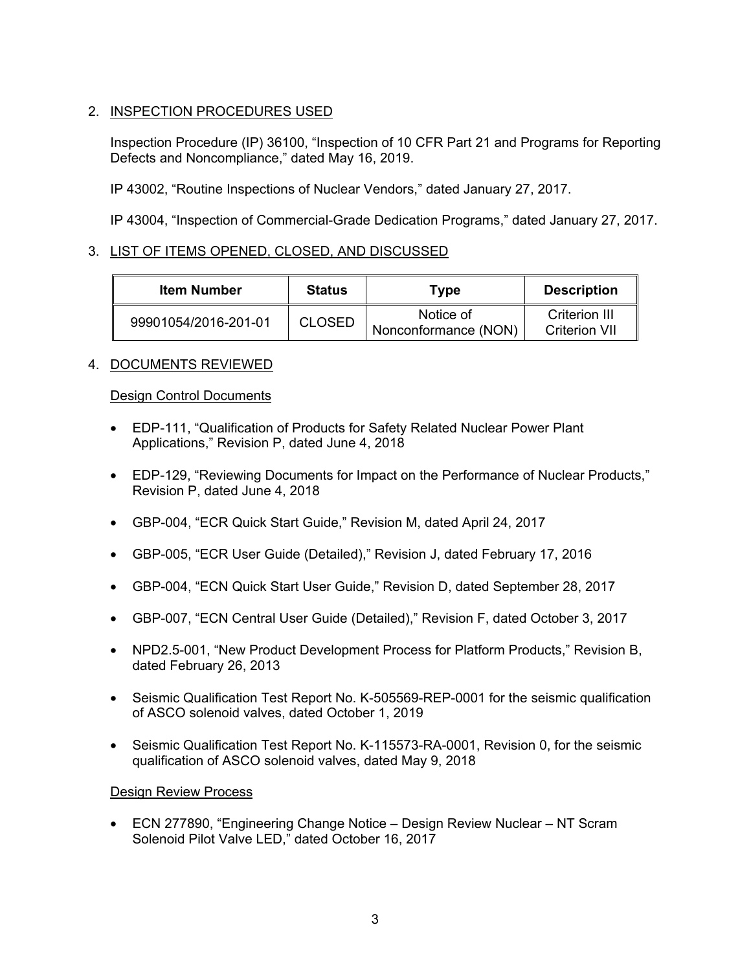# 2. INSPECTION PROCEDURES USED

Inspection Procedure (IP) 36100, "Inspection of 10 CFR Part 21 and Programs for Reporting Defects and Noncompliance," dated May 16, 2019.

IP 43002, "Routine Inspections of Nuclear Vendors," dated January 27, 2017.

IP 43004, "Inspection of Commercial-Grade Dedication Programs," dated January 27, 2017.

# 3. LIST OF ITEMS OPENED, CLOSED, AND DISCUSSED

| <b>Item Number</b>   | <b>Status</b> | Type                              | <b>Description</b>                    |
|----------------------|---------------|-----------------------------------|---------------------------------------|
| 99901054/2016-201-01 | <b>CLOSED</b> | Notice of<br>Nonconformance (NON) | Criterion III<br><b>Criterion VII</b> |

# 4. DOCUMENTS REVIEWED

# Design Control Documents

- EDP-111, "Qualification of Products for Safety Related Nuclear Power Plant Applications," Revision P, dated June 4, 2018
- EDP-129, "Reviewing Documents for Impact on the Performance of Nuclear Products," Revision P, dated June 4, 2018
- GBP-004, "ECR Quick Start Guide," Revision M, dated April 24, 2017
- GBP-005, "ECR User Guide (Detailed)," Revision J, dated February 17, 2016
- GBP-004, "ECN Quick Start User Guide," Revision D, dated September 28, 2017
- GBP-007, "ECN Central User Guide (Detailed)," Revision F, dated October 3, 2017
- NPD2.5-001, "New Product Development Process for Platform Products," Revision B, dated February 26, 2013
- Seismic Qualification Test Report No. K-505569-REP-0001 for the seismic qualification of ASCO solenoid valves, dated October 1, 2019
- Seismic Qualification Test Report No. K-115573-RA-0001, Revision 0, for the seismic qualification of ASCO solenoid valves, dated May 9, 2018

# Design Review Process

• ECN 277890, "Engineering Change Notice – Design Review Nuclear – NT Scram Solenoid Pilot Valve LED," dated October 16, 2017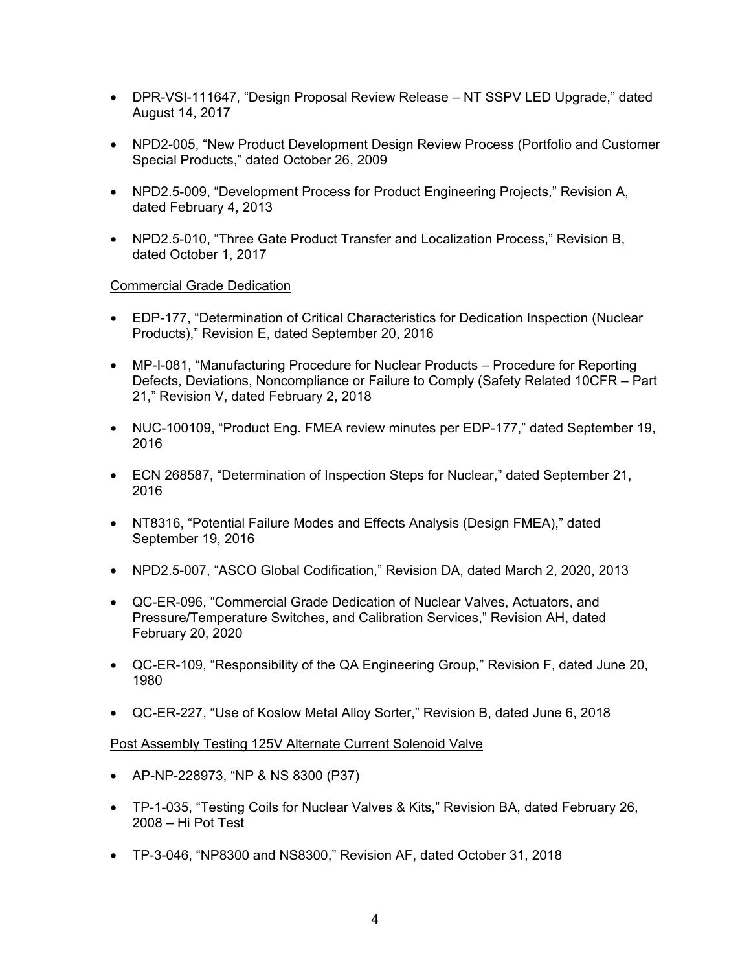- DPR-VSI-111647, "Design Proposal Review Release NT SSPV LED Upgrade," dated August 14, 2017
- NPD2-005, "New Product Development Design Review Process (Portfolio and Customer Special Products," dated October 26, 2009
- NPD2.5-009, "Development Process for Product Engineering Projects," Revision A, dated February 4, 2013
- NPD2.5-010, "Three Gate Product Transfer and Localization Process." Revision B. dated October 1, 2017

# Commercial Grade Dedication

- EDP-177, "Determination of Critical Characteristics for Dedication Inspection (Nuclear Products)," Revision E, dated September 20, 2016
- MP-I-081, "Manufacturing Procedure for Nuclear Products Procedure for Reporting Defects, Deviations, Noncompliance or Failure to Comply (Safety Related 10CFR – Part 21," Revision V, dated February 2, 2018
- NUC-100109, "Product Eng. FMEA review minutes per EDP-177," dated September 19, 2016
- ECN 268587, "Determination of Inspection Steps for Nuclear," dated September 21, 2016
- NT8316, "Potential Failure Modes and Effects Analysis (Design FMEA)," dated September 19, 2016
- NPD2.5-007, "ASCO Global Codification," Revision DA, dated March 2, 2020, 2013
- QC-ER-096, "Commercial Grade Dedication of Nuclear Valves, Actuators, and Pressure/Temperature Switches, and Calibration Services," Revision AH, dated February 20, 2020
- QC-ER-109, "Responsibility of the QA Engineering Group," Revision F, dated June 20, 1980
- QC-ER-227, "Use of Koslow Metal Alloy Sorter," Revision B, dated June 6, 2018

# Post Assembly Testing 125V Alternate Current Solenoid Valve

- AP-NP-228973, "NP & NS 8300 (P37)
- TP-1-035, "Testing Coils for Nuclear Valves & Kits," Revision BA, dated February 26, 2008 – Hi Pot Test
- TP-3-046, "NP8300 and NS8300," Revision AF, dated October 31, 2018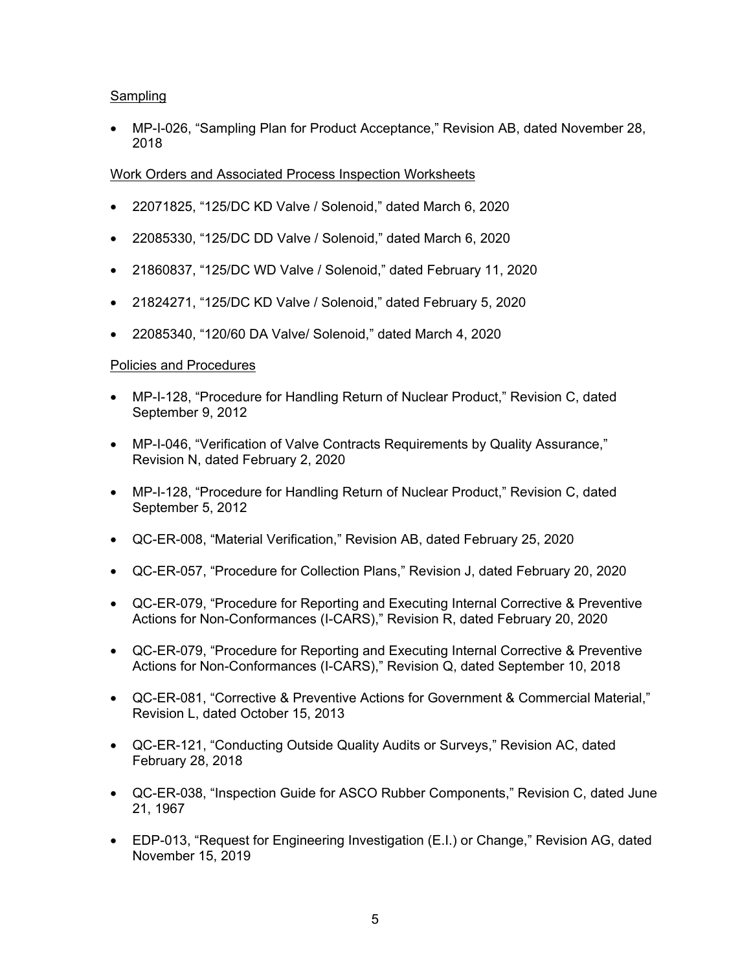# **Sampling**

• MP-I-026, "Sampling Plan for Product Acceptance," Revision AB, dated November 28, 2018

# Work Orders and Associated Process Inspection Worksheets

- 22071825, "125/DC KD Valve / Solenoid," dated March 6, 2020
- 22085330, "125/DC DD Valve / Solenoid," dated March 6, 2020
- 21860837, "125/DC WD Valve / Solenoid," dated February 11, 2020
- 21824271, "125/DC KD Valve / Solenoid," dated February 5, 2020
- 22085340, "120/60 DA Valve/ Solenoid," dated March 4, 2020

# Policies and Procedures

- MP-I-128, "Procedure for Handling Return of Nuclear Product," Revision C, dated September 9, 2012
- MP-I-046, "Verification of Valve Contracts Requirements by Quality Assurance," Revision N, dated February 2, 2020
- MP-I-128, "Procedure for Handling Return of Nuclear Product," Revision C, dated September 5, 2012
- QC-ER-008, "Material Verification," Revision AB, dated February 25, 2020
- QC-ER-057, "Procedure for Collection Plans," Revision J, dated February 20, 2020
- QC-ER-079, "Procedure for Reporting and Executing Internal Corrective & Preventive Actions for Non-Conformances (I-CARS)," Revision R, dated February 20, 2020
- QC-ER-079, "Procedure for Reporting and Executing Internal Corrective & Preventive Actions for Non-Conformances (I-CARS)," Revision Q, dated September 10, 2018
- QC-ER-081, "Corrective & Preventive Actions for Government & Commercial Material," Revision L, dated October 15, 2013
- QC-ER-121, "Conducting Outside Quality Audits or Surveys," Revision AC, dated February 28, 2018
- QC-ER-038, "Inspection Guide for ASCO Rubber Components," Revision C, dated June 21, 1967
- EDP-013, "Request for Engineering Investigation (E.I.) or Change," Revision AG, dated November 15, 2019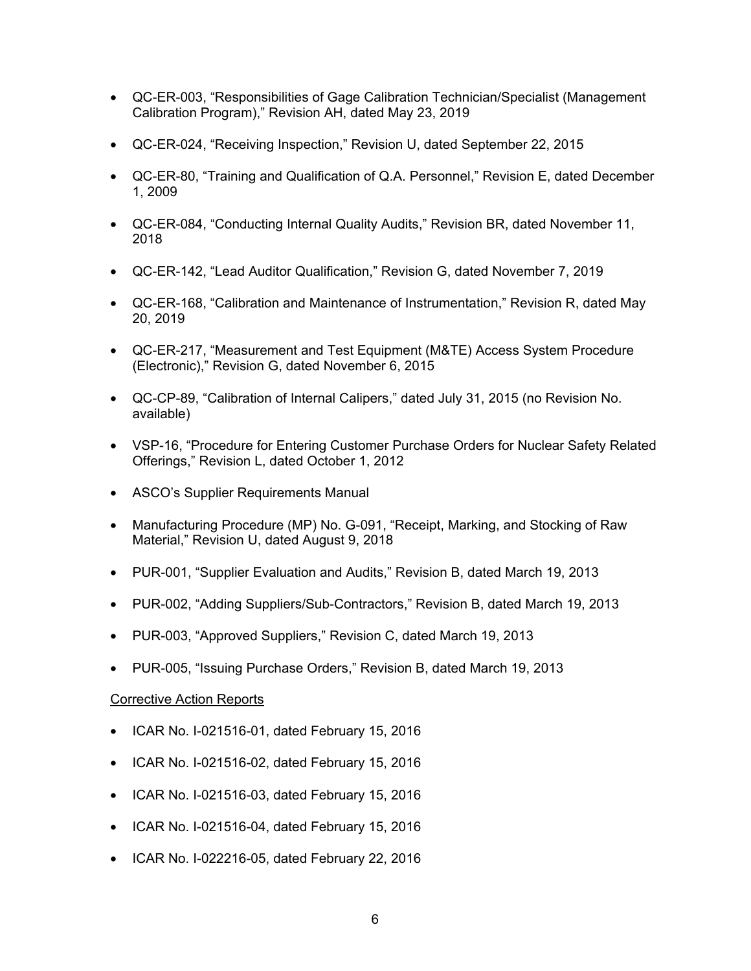- QC-ER-003, "Responsibilities of Gage Calibration Technician/Specialist (Management Calibration Program)," Revision AH, dated May 23, 2019
- QC-ER-024, "Receiving Inspection," Revision U, dated September 22, 2015
- QC-ER-80, "Training and Qualification of Q.A. Personnel," Revision E, dated December 1, 2009
- QC-ER-084, "Conducting Internal Quality Audits," Revision BR, dated November 11, 2018
- QC-ER-142, "Lead Auditor Qualification," Revision G, dated November 7, 2019
- QC-ER-168, "Calibration and Maintenance of Instrumentation," Revision R, dated May 20, 2019
- QC-ER-217, "Measurement and Test Equipment (M&TE) Access System Procedure (Electronic)," Revision G, dated November 6, 2015
- QC-CP-89, "Calibration of Internal Calipers," dated July 31, 2015 (no Revision No. available)
- VSP-16, "Procedure for Entering Customer Purchase Orders for Nuclear Safety Related Offerings," Revision L, dated October 1, 2012
- ASCO's Supplier Requirements Manual
- Manufacturing Procedure (MP) No. G-091, "Receipt, Marking, and Stocking of Raw Material," Revision U, dated August 9, 2018
- PUR-001, "Supplier Evaluation and Audits," Revision B, dated March 19, 2013
- PUR-002, "Adding Suppliers/Sub-Contractors," Revision B, dated March 19, 2013
- PUR-003, "Approved Suppliers," Revision C, dated March 19, 2013
- PUR-005, "Issuing Purchase Orders," Revision B, dated March 19, 2013

#### Corrective Action Reports

- ICAR No. I-021516-01, dated February 15, 2016
- ICAR No. I-021516-02, dated February 15, 2016
- ICAR No. I-021516-03, dated February 15, 2016
- ICAR No. I-021516-04, dated February 15, 2016
- ICAR No. I-022216-05, dated February 22, 2016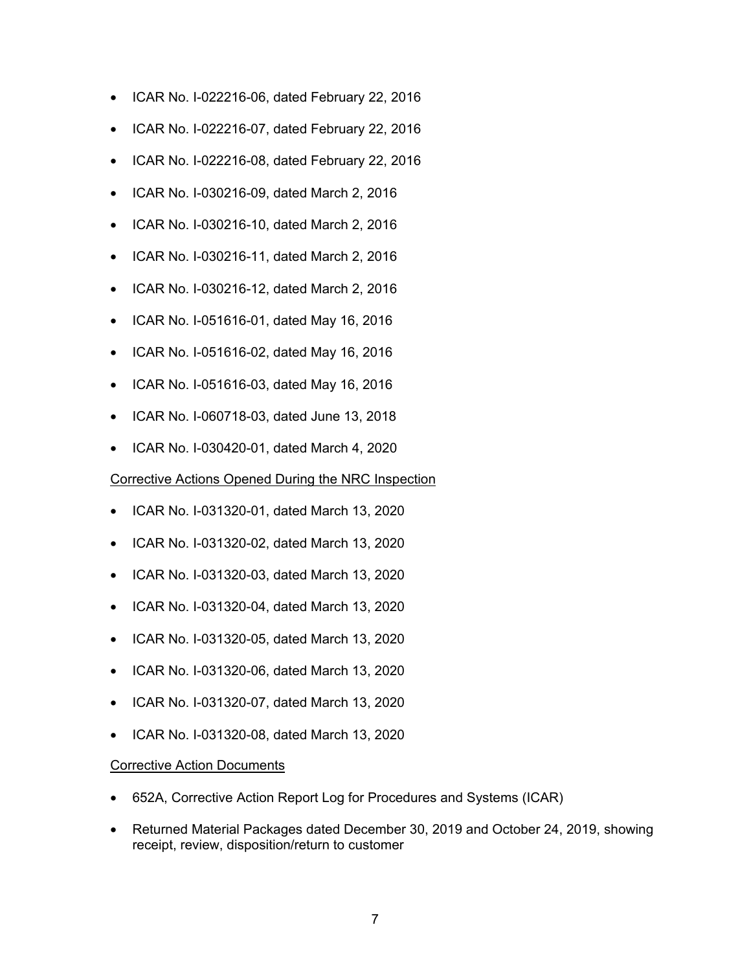- ICAR No. I-022216-06, dated February 22, 2016
- ICAR No. I-022216-07, dated February 22, 2016
- ICAR No. I-022216-08, dated February 22, 2016
- ICAR No. I-030216-09, dated March 2, 2016
- ICAR No. I-030216-10, dated March 2, 2016
- ICAR No. I-030216-11, dated March 2, 2016
- ICAR No. I-030216-12, dated March 2, 2016
- ICAR No. I-051616-01, dated May 16, 2016
- ICAR No. I-051616-02, dated May 16, 2016
- ICAR No. I-051616-03, dated May 16, 2016
- ICAR No. I-060718-03, dated June 13, 2018
- ICAR No. I-030420-01, dated March 4, 2020

#### Corrective Actions Opened During the NRC Inspection

- ICAR No. I-031320-01, dated March 13, 2020
- ICAR No. I-031320-02, dated March 13, 2020
- ICAR No. I-031320-03, dated March 13, 2020
- ICAR No. I-031320-04, dated March 13, 2020
- ICAR No. I-031320-05, dated March 13, 2020
- ICAR No. I-031320-06, dated March 13, 2020
- ICAR No. I-031320-07, dated March 13, 2020
- ICAR No. I-031320-08, dated March 13, 2020

#### Corrective Action Documents

- 652A, Corrective Action Report Log for Procedures and Systems (ICAR)
- Returned Material Packages dated December 30, 2019 and October 24, 2019, showing receipt, review, disposition/return to customer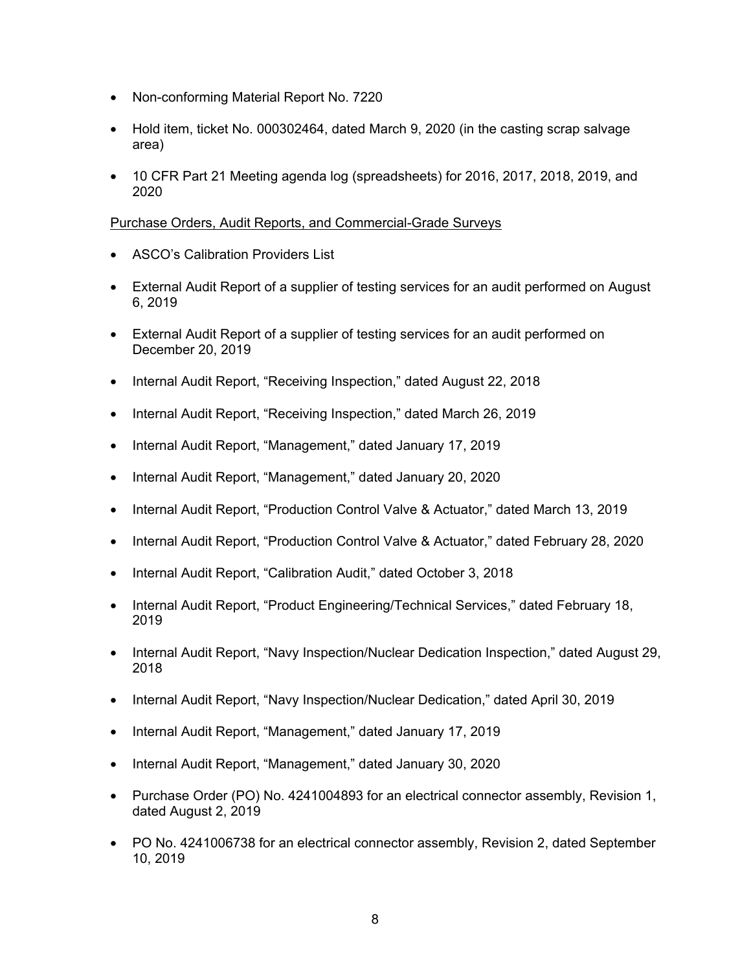- Non-conforming Material Report No. 7220
- Hold item, ticket No. 000302464, dated March 9, 2020 (in the casting scrap salvage area)
- 10 CFR Part 21 Meeting agenda log (spreadsheets) for 2016, 2017, 2018, 2019, and 2020

# Purchase Orders, Audit Reports, and Commercial-Grade Surveys

- ASCO's Calibration Providers List
- External Audit Report of a supplier of testing services for an audit performed on August 6, 2019
- External Audit Report of a supplier of testing services for an audit performed on December 20, 2019
- Internal Audit Report, "Receiving Inspection," dated August 22, 2018
- Internal Audit Report, "Receiving Inspection," dated March 26, 2019
- Internal Audit Report, "Management," dated January 17, 2019
- Internal Audit Report, "Management," dated January 20, 2020
- Internal Audit Report, "Production Control Valve & Actuator," dated March 13, 2019
- Internal Audit Report, "Production Control Valve & Actuator," dated February 28, 2020
- Internal Audit Report, "Calibration Audit," dated October 3, 2018
- Internal Audit Report, "Product Engineering/Technical Services," dated February 18, 2019
- Internal Audit Report, "Navy Inspection/Nuclear Dedication Inspection," dated August 29, 2018
- Internal Audit Report, "Navy Inspection/Nuclear Dedication," dated April 30, 2019
- Internal Audit Report, "Management," dated January 17, 2019
- Internal Audit Report, "Management," dated January 30, 2020
- Purchase Order (PO) No. 4241004893 for an electrical connector assembly, Revision 1, dated August 2, 2019
- PO No. 4241006738 for an electrical connector assembly, Revision 2, dated September 10, 2019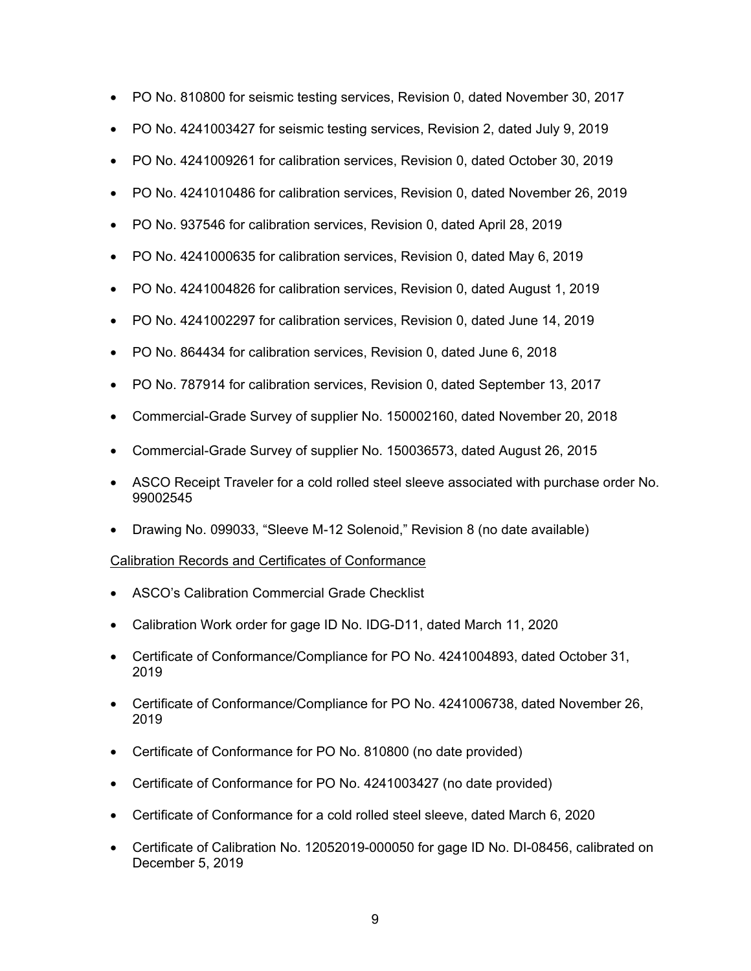- PO No. 810800 for seismic testing services, Revision 0, dated November 30, 2017
- PO No. 4241003427 for seismic testing services, Revision 2, dated July 9, 2019
- PO No. 4241009261 for calibration services, Revision 0, dated October 30, 2019
- PO No. 4241010486 for calibration services, Revision 0, dated November 26, 2019
- PO No. 937546 for calibration services, Revision 0, dated April 28, 2019
- PO No. 4241000635 for calibration services, Revision 0, dated May 6, 2019
- PO No. 4241004826 for calibration services, Revision 0, dated August 1, 2019
- PO No. 4241002297 for calibration services, Revision 0, dated June 14, 2019
- PO No. 864434 for calibration services, Revision 0, dated June 6, 2018
- PO No. 787914 for calibration services, Revision 0, dated September 13, 2017
- Commercial-Grade Survey of supplier No. 150002160, dated November 20, 2018
- Commercial-Grade Survey of supplier No. 150036573, dated August 26, 2015
- ASCO Receipt Traveler for a cold rolled steel sleeve associated with purchase order No. 99002545
- Drawing No. 099033, "Sleeve M-12 Solenoid," Revision 8 (no date available)

# Calibration Records and Certificates of Conformance

- ASCO's Calibration Commercial Grade Checklist
- Calibration Work order for gage ID No. IDG-D11, dated March 11, 2020
- Certificate of Conformance/Compliance for PO No. 4241004893, dated October 31, 2019
- Certificate of Conformance/Compliance for PO No. 4241006738, dated November 26, 2019
- Certificate of Conformance for PO No. 810800 (no date provided)
- Certificate of Conformance for PO No. 4241003427 (no date provided)
- Certificate of Conformance for a cold rolled steel sleeve, dated March 6, 2020
- Certificate of Calibration No. 12052019-000050 for gage ID No. DI-08456, calibrated on December 5, 2019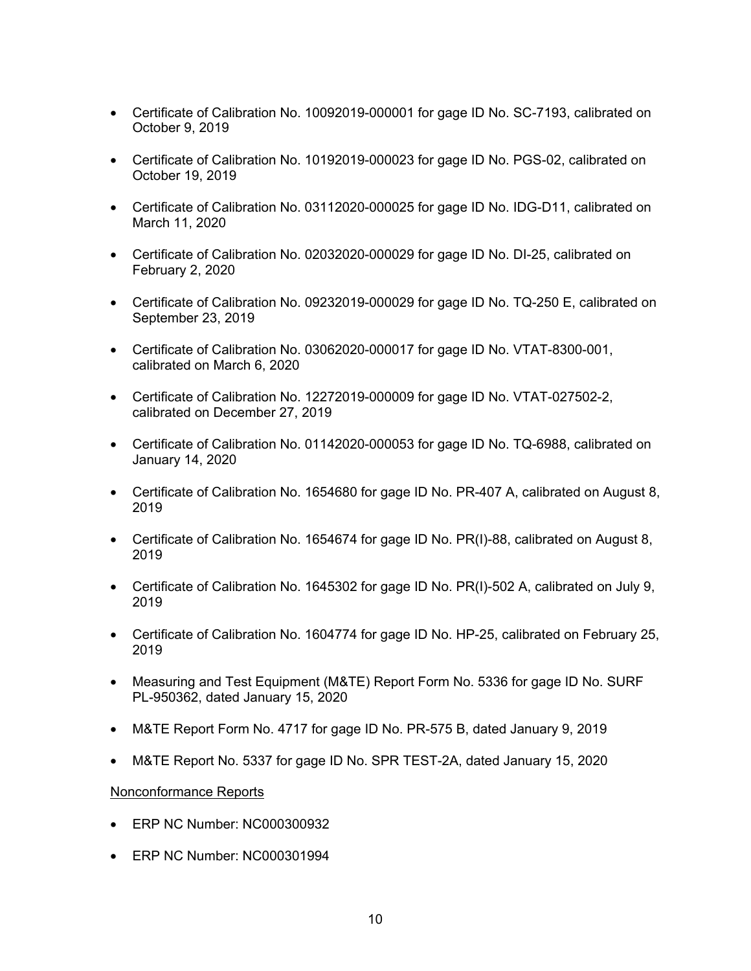- Certificate of Calibration No. 10092019-000001 for gage ID No. SC-7193, calibrated on October 9, 2019
- Certificate of Calibration No. 10192019-000023 for gage ID No. PGS-02, calibrated on October 19, 2019
- Certificate of Calibration No. 03112020-000025 for gage ID No. IDG-D11, calibrated on March 11, 2020
- Certificate of Calibration No. 02032020-000029 for gage ID No. DI-25, calibrated on February 2, 2020
- Certificate of Calibration No. 09232019-000029 for gage ID No. TQ-250 E, calibrated on September 23, 2019
- Certificate of Calibration No. 03062020-000017 for gage ID No. VTAT-8300-001, calibrated on March 6, 2020
- Certificate of Calibration No. 12272019-000009 for gage ID No. VTAT-027502-2, calibrated on December 27, 2019
- Certificate of Calibration No. 01142020-000053 for gage ID No. TQ-6988, calibrated on January 14, 2020
- Certificate of Calibration No. 1654680 for gage ID No. PR-407 A, calibrated on August 8, 2019
- Certificate of Calibration No. 1654674 for gage ID No. PR(I)-88, calibrated on August 8, 2019
- Certificate of Calibration No. 1645302 for gage ID No. PR(I)-502 A, calibrated on July 9, 2019
- Certificate of Calibration No. 1604774 for gage ID No. HP-25, calibrated on February 25, 2019
- Measuring and Test Equipment (M&TE) Report Form No. 5336 for gage ID No. SURF PL-950362, dated January 15, 2020
- M&TE Report Form No. 4717 for gage ID No. PR-575 B, dated January 9, 2019
- M&TE Report No. 5337 for gage ID No. SPR TEST-2A, dated January 15, 2020

# Nonconformance Reports

- ERP NC Number: NC000300932
- ERP NC Number: NC000301994